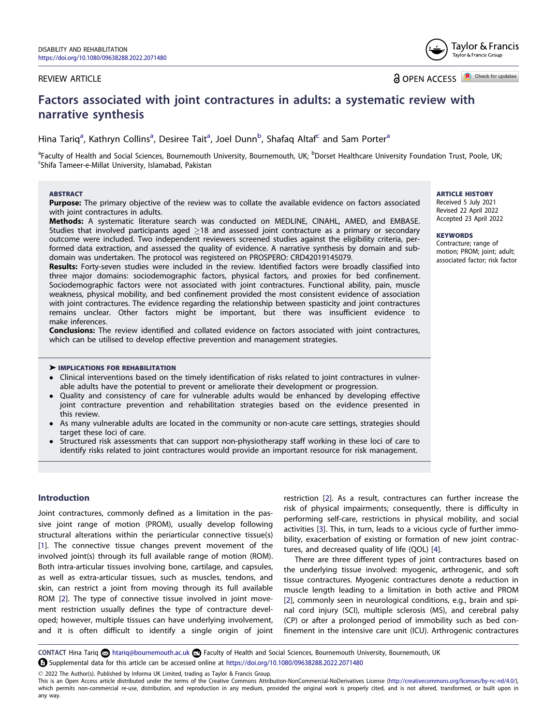# <span id="page-0-0"></span>REVIEW ARTICLE

**a** OPEN ACCESS **D** Check for updates

# **Factors associated with joint contractures in adults: a systematic review with narrative synthesis**

Hina Tariq<sup>a</sup>, Kathryn Collins<sup>a</sup>, Desiree Tait<sup>a</sup>, Joel Dunn<sup>b</sup>, Shafaq Altaf<sup>c</sup> and Sam Porter<sup>a</sup>

<sup>a</sup>Faculty of Health and Social Sciences, Bournemouth University, Bournemouth, UK; <sup>b</sup>Dorset Healthcare University Foundation Trust, Poole, UK;<br><sup>c</sup>Shifa Tameer-e-Millat University, Islamabad, Pakistan Shifa Tameer-e-Millat University, Islamabad, Pakistan

### **ABSTRACT**

**Purpose:** The primary objective of the review was to collate the available evidence on factors associated with joint contractures in adults.

**Methods:** A systematic literature search was conducted on MEDLINE, CINAHL, AMED, and EMBASE. Studies that involved participants aged  $\geq$  18 and assessed joint contracture as a primary or secondary outcome were included. Two independent reviewers screened studies against the eligibility criteria, performed data extraction, and assessed the quality of evidence. A narrative synthesis by domain and subdomain was undertaken. The protocol was registered on PROSPERO: CRD42019145079.

**Results:** Forty-seven studies were included in the review. Identified factors were broadly classified into three major domains: sociodemographic factors, physical factors, and proxies for bed confinement. Sociodemographic factors were not associated with joint contractures. Functional ability, pain, muscle weakness, physical mobility, and bed confinement provided the most consistent evidence of association with joint contractures. The evidence regarding the relationship between spasticity and joint contractures remains unclear. Other factors might be important, but there was insufficient evidence to make inferences.

**Conclusions:** The review identified and collated evidence on factors associated with joint contractures, which can be utilised to develop effective prevention and management strategies.

### � **IMPLICATIONS FOR REHABILITATION**

- � Clinical interventions based on the timely identification of risks related to joint contractures in vulnerable adults have the potential to prevent or ameliorate their development or progression.
- Quality and consistency of care for vulnerable adults would be enhanced by developing effective joint contracture prevention and rehabilitation strategies based on the evidence presented in this review.
- � As many vulnerable adults are located in the community or non-acute care settings, strategies should target these loci of care.
- Structured risk assessments that can support non-physiotherapy staff working in these loci of care to identify risks related to joint contractures would provide an important resource for risk management.

# **Introduction**

Joint contractures, commonly defined as a limitation in the passive joint range of motion (PROM), usually develop following structural alterations within the periarticular connective tissue(s) [\[1](#page-15-0)]. The connective tissue changes prevent movement of the involved joint(s) through its full available range of motion (ROM). Both intra-articular tissues involving bone, cartilage, and capsules, as well as extra-articular tissues, such as muscles, tendons, and skin, can restrict a joint from moving through its full available ROM [\[2\]](#page-15-0). The type of connective tissue involved in joint movement restriction usually defines the type of contracture developed; however, multiple tissues can have underlying involvement, and it is often difficult to identify a single origin of joint restriction [[2\]](#page-15-0). As a result, contractures can further increase the risk of physical impairments; consequently, there is difficulty in performing self-care, restrictions in physical mobility, and social activities [\[3\]](#page-15-0). This, in turn, leads to a vicious cycle of further immobility, exacerbation of existing or formation of new joint contractures, and decreased quality of life (QOL) [[4](#page-15-0)].

There are three different types of joint contractures based on the underlying tissue involved: myogenic, arthrogenic, and soft tissue contractures. Myogenic contractures denote a reduction in muscle length leading to a limitation in both active and PROM [\[2\]](#page-15-0), commonly seen in neurological conditions, e.g., brain and spinal cord injury (SCI), multiple sclerosis (MS), and cerebral palsy (CP) or after a prolonged period of immobility such as bed confinement in the intensive care unit (ICU). Arthrogenic contractures

**CONTACT Hina Tariq Co** htariq@bournemouth.ac.uk **C** Faculty of Health and Social Sciences, Bournemouth University, Bournemouth, UK Supplemental data for this article can be accessed online at <https://doi.org/10.1080/09638288.2022.2071480>

 $\oslash$  2022 The Author(s). Published by Informa UK Limited, trading as Taylor & Francis Group.

### **ARTICLE HISTORY**

Received 5 July 2021 Revised 22 April 2022 Accepted 23 April 2022

#### **KEYWORDS**

Contracture; range of motion; PROM; joint; adult; associated factor; risk factor



This is an Open Access article distributed under the terms of the Creative Commons Attribution-NonCommercial-NoDerivatives License (<http://creativecommons.org/licenses/by-nc-nd/4.0/>), which permits non-commercial re-use, distribution, and reproduction in any medium, provided the original work is properly cited, and is not altered, transformed, or built upon in any way.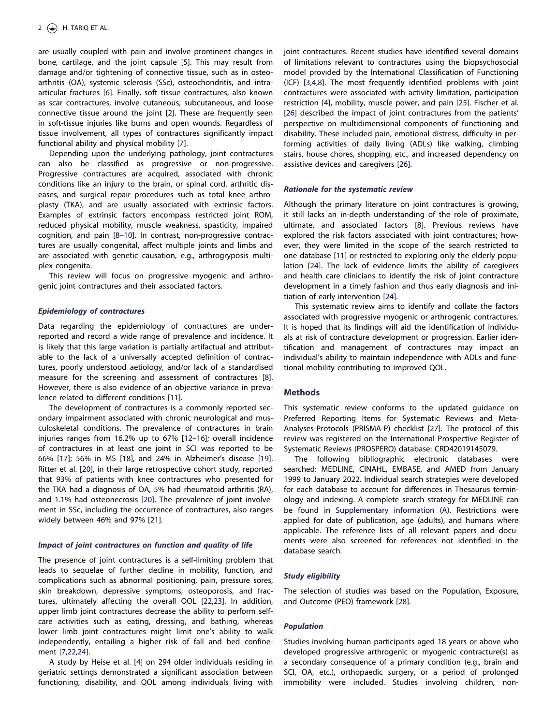<span id="page-1-0"></span>are usually coupled with pain and involve prominent changes in bone, cartilage, and the joint capsule [[5](#page-15-0)]. This may result from damage and/or tightening of connective tissue, such as in osteoarthritis (OA), systemic sclerosis (SSc), osteochondritis, and intraarticular fractures [[6](#page-15-0)]. Finally, soft tissue contractures, also known as scar contractures, involve cutaneous, subcutaneous, and loose connective tissue around the joint [[2](#page-15-0)]. These are frequently seen in soft-tissue injuries like burns and open wounds. Regardless of tissue involvement, all types of contractures significantly impact functional ability and physical mobility [[7](#page-15-0)].

Depending upon the underlying pathology, joint contractures can also be classified as progressive or non-progressive. Progressive contractures are acquired, associated with chronic conditions like an injury to the brain, or spinal cord, arthritic diseases, and surgical repair procedures such as total knee arthroplasty (TKA), and are usually associated with extrinsic factors. Examples of extrinsic factors encompass restricted joint ROM, reduced physical mobility, muscle weakness, spasticity, impaired cognition, and pain [\[8–10\]](#page-15-0). In contrast, non-progressive contractures are usually congenital, affect multiple joints and limbs and are associated with genetic causation, e.g., arthrogryposis multiplex congenita.

This review will focus on progressive myogenic and arthrogenic joint contractures and their associated factors.

#### *Epidemiology of contractures*

Data regarding the epidemiology of contractures are underreported and record a wide range of prevalence and incidence. It is likely that this large variation is partially artifactual and attributable to the lack of a universally accepted definition of contractures, poorly understood aetiology, and/or lack of a standardised measure for the screening and assessment of contractures [[8](#page-15-0)]. However, there is also evidence of an objective variance in prevalence related to different conditions [\[11](#page-15-0)].

The development of contractures is a commonly reported secondary impairment associated with chronic neurological and musculoskeletal conditions. The prevalence of contractures in brain injuries ranges from 16.2% up to 67% [\[12–16](#page-15-0)]; overall incidence of contractures in at least one joint in SCI was reported to be 66% [\[17](#page-16-0)]; 56% in MS [[18](#page-16-0)], and 24% in Alzheimer's disease [\[19](#page-16-0)]. Ritter et al. [[20](#page-16-0)], in their large retrospective cohort study, reported that 93% of patients with knee contractures who presented for the TKA had a diagnosis of OA, 5% had rheumatoid arthritis (RA), and 1.1% had osteonecrosis [\[20](#page-16-0)]. The prevalence of joint involvement in SSc, including the occurrence of contractures, also ranges widely between 46% and 97% [\[21\]](#page-16-0).

#### *Impact of joint contractures on function and quality of life*

The presence of joint contractures is a self-limiting problem that leads to sequelae of further decline in mobility, function, and complications such as abnormal positioning, pain, pressure sores, skin breakdown, depressive symptoms, osteoporosis, and fractures, ultimately affecting the overall QOL [[22,23](#page-16-0)]. In addition, upper limb joint contractures decrease the ability to perform selfcare activities such as eating, dressing, and bathing, whereas lower limb joint contractures might limit one's ability to walk independently, entailing a higher risk of fall and bed confinement [\[7](#page-15-0),[22](#page-16-0),[24](#page-16-0)].

A study by Heise et al. [\[4\]](#page-15-0) on 294 older individuals residing in geriatric settings demonstrated a significant association between functioning, disability, and QOL among individuals living with

joint contractures. Recent studies have identified several domains of limitations relevant to contractures using the biopsychosocial model provided by the International Classification of Functioning (ICF) [[3,4,8](#page-15-0)]. The most frequently identified problems with joint contractures were associated with activity limitation, participation restriction [[4](#page-15-0)], mobility, muscle power, and pain [[25](#page-16-0)]. Fischer et al. [\[26](#page-16-0)] described the impact of joint contractures from the patients' perspective on multidimensional components of functioning and disability. These included pain, emotional distress, difficulty in performing activities of daily living (ADLs) like walking, climbing stairs, house chores, shopping, etc., and increased dependency on assistive devices and caregivers [\[26](#page-16-0)].

#### *Rationale for the systematic review*

Although the primary literature on joint contractures is growing, it still lacks an in-depth understanding of the role of proximate, ultimate, and associated factors [[8](#page-15-0)]. Previous reviews have explored the risk factors associated with joint contractures; however, they were limited in the scope of the search restricted to one database [[11](#page-15-0)] or restricted to exploring only the elderly population [\[24\]](#page-16-0). The lack of evidence limits the ability of caregivers and health care clinicians to identify the risk of joint contracture development in a timely fashion and thus early diagnosis and initiation of early intervention [[24](#page-16-0)].

This systematic review aims to identify and collate the factors associated with progressive myogenic or arthrogenic contractures. It is hoped that its findings will aid the identification of individuals at risk of contracture development or progression. Earlier identification and management of contractures may impact an individual's ability to maintain independence with ADLs and functional mobility contributing to improved QOL.

### **Methods**

This systematic review conforms to the updated guidance on Preferred Reporting Items for Systematic Reviews and Meta-Analyses-Protocols (PRISMA-P) checklist [\[27\]](#page-16-0). The protocol of this review was registered on the International Prospective Register of Systematic Reviews (PROSPERO) database: CRD42019145079.

The following bibliographic electronic databases were searched: MEDLINE, CINAHL, EMBASE, and AMED from January 1999 to January 2022. Individual search strategies were developed for each database to account for differences in Thesaurus terminology and indexing. A complete search strategy for MEDLINE can be found in [Supplementary information \(A\).](https://doi.org/10.1080/09638288.2022.2071480) Restrictions were applied for date of publication, age (adults), and humans where applicable. The reference lists of all relevant papers and documents were also screened for references not identified in the database search.

#### *Study eligibility*

The selection of studies was based on the Population, Exposure, and Outcome (PEO) framework [[28](#page-16-0)].

#### *Population*

Studies involving human participants aged 18 years or above who developed progressive arthrogenic or myogenic contracture(s) as a secondary consequence of a primary condition (e.g., brain and SCI, OA, etc.), orthopaedic surgery, or a period of prolonged immobility were included. Studies involving children, non-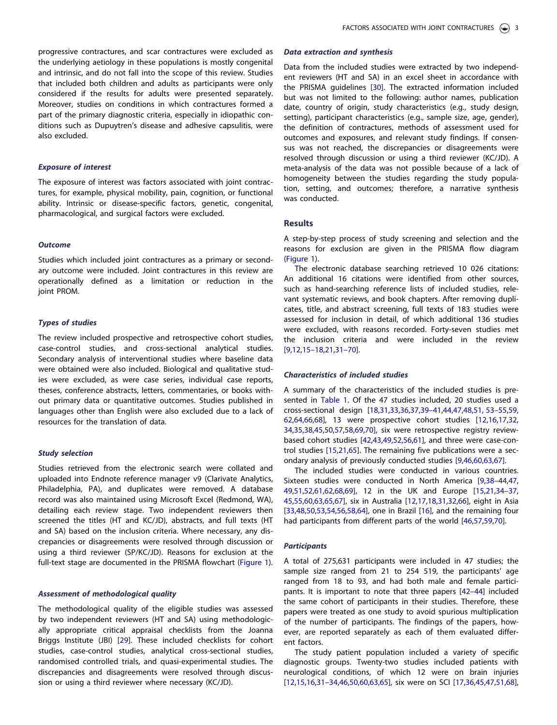<span id="page-2-0"></span>progressive contractures, and scar contractures were excluded as the underlying aetiology in these populations is mostly congenital and intrinsic, and do not fall into the scope of this review. Studies that included both children and adults as participants were only considered if the results for adults were presented separately. Moreover, studies on conditions in which contractures formed a part of the primary diagnostic criteria, especially in idiopathic conditions such as Dupuytren's disease and adhesive capsulitis, were also excluded.

### *Exposure of interest*

The exposure of interest was factors associated with joint contractures, for example, physical mobility, pain, cognition, or functional ability. Intrinsic or disease-specific factors, genetic, congenital, pharmacological, and surgical factors were excluded.

### *Outcome*

Studies which included joint contractures as a primary or secondary outcome were included. Joint contractures in this review are operationally defined as a limitation or reduction in the joint PROM.

### *Types of studies*

The review included prospective and retrospective cohort studies, case-control studies, and cross-sectional analytical studies. Secondary analysis of interventional studies where baseline data were obtained were also included. Biological and qualitative studies were excluded, as were case series, individual case reports, theses, conference abstracts, letters, commentaries, or books without primary data or quantitative outcomes. Studies published in languages other than English were also excluded due to a lack of resources for the translation of data.

### *Study selection*

Studies retrieved from the electronic search were collated and uploaded into Endnote reference manager v9 (Clarivate Analytics, Philadelphia, PA), and duplicates were removed. A database record was also maintained using Microsoft Excel (Redmond, WA), detailing each review stage. Two independent reviewers then screened the titles (HT and KC/JD), abstracts, and full texts (HT and SA) based on the inclusion criteria. Where necessary, any discrepancies or disagreements were resolved through discussion or using a third reviewer (SP/KC/JD). Reasons for exclusion at the full-text stage are documented in the PRISMA flowchart ([Figure 1](#page-3-0)).

### *Assessment of methodological quality*

The methodological quality of the eligible studies was assessed by two independent reviewers (HT and SA) using methodologically appropriate critical appraisal checklists from the Joanna Briggs Institute (JBI) [\[29](#page-16-0)]. These included checklists for cohort studies, case-control studies, analytical cross-sectional studies, randomised controlled trials, and quasi-experimental studies. The discrepancies and disagreements were resolved through discussion or using a third reviewer where necessary (KC/JD).

# *Data extraction and synthesis*

Data from the included studies were extracted by two independent reviewers (HT and SA) in an excel sheet in accordance with the PRISMA guidelines [[30](#page-16-0)]. The extracted information included but was not limited to the following: author names, publication date, country of origin, study characteristics (e.g., study design, setting), participant characteristics (e.g., sample size, age, gender), the definition of contractures, methods of assessment used for outcomes and exposures, and relevant study findings. If consensus was not reached, the discrepancies or disagreements were resolved through discussion or using a third reviewer (KC/JD). A meta-analysis of the data was not possible because of a lack of homogeneity between the studies regarding the study population, setting, and outcomes; therefore, a narrative synthesis was conducted.

# **Results**

A step-by-step process of study screening and selection and the reasons for exclusion are given in the PRISMA flow diagram [\(Figure 1\)](#page-3-0).

The electronic database searching retrieved 10 026 citations: An additional 16 citations were identified from other sources, such as hand-searching reference lists of included studies, relevant systematic reviews, and book chapters. After removing duplicates, title, and abstract screening, full texts of 183 studies were assessed for inclusion in detail, of which additional 136 studies were excluded, with reasons recorded. Forty-seven studies met the inclusion criteria and were included in the review [\[9,12,15–18,](#page-15-0)[21,31–70\]](#page-16-0).

### *Characteristics of included studies*

A summary of the characteristics of the included studies is presented in [Table 1](#page-4-0). Of the 47 studies included, 20 studies used a cross-sectional design [[18,31,33](#page-16-0),[36,37,39–41](#page-16-0),[44,47,48,51](#page-16-0), [53–55,59,](#page-17-0) [62,64](#page-17-0),[66](#page-17-0),[68](#page-17-0)], 13 were prospective cohort studies [\[12,16,](#page-15-0)[17,32,](#page-16-0) [34,35](#page-16-0),[38](#page-16-0),[45,50](#page-16-0)[,57,58,69,70\]](#page-17-0), six were retrospective registry reviewbased cohort studies [[42,43,49](#page-16-0)[,52,56,61\]](#page-17-0), and three were case-control studies [\[15,](#page-15-0)[21,](#page-16-0)[65\]](#page-17-0). The remaining five publications were a secondary analysis of previously conducted studies [[9](#page-15-0)[,46,](#page-16-0)[60,63,67\]](#page-17-0).

The included studies were conducted in various countries. Sixteen studies were conducted in North America [\[9,](#page-15-0)[38–44,47,](#page-16-0) [49,51](#page-16-0),[52](#page-17-0),[61,62,68,69\]](#page-17-0), 12 in the UK and Europe [[15,](#page-15-0)[21,34–37,](#page-16-0) [45,](#page-16-0)[55](#page-17-0),[60](#page-17-0),[63,65,67](#page-17-0)], six in Australia [[12](#page-15-0)[,17,18,31,32](#page-16-0)[,66\]](#page-17-0), eight in Asia [\[33,48,50,](#page-16-0)[53,54,56,58](#page-17-0),[64](#page-17-0)], one in Brazil [[16](#page-15-0)], and the remaining four had participants from different parts of the world [\[46](#page-16-0)[,57,59,70\]](#page-17-0).

#### *Participants*

A total of 275,631 participants were included in 47 studies; the sample size ranged from 21 to 254 519, the participants' age ranged from 18 to 93, and had both male and female participants. It is important to note that three papers [\[42–44](#page-16-0)] included the same cohort of participants in their studies. Therefore, these papers were treated as one study to avoid spurious multiplication of the number of participants. The findings of the papers, however, are reported separately as each of them evaluated different factors.

The study patient population included a variety of specific diagnostic groups. Twenty-two studies included patients with neurological conditions, of which 12 were on brain injuries [\[12,15,16,](#page-15-0)[31–34,46,50,](#page-16-0)[60,63,65\]](#page-17-0), six were on SCI [\[17,36,45,47,51](#page-16-0),[68](#page-17-0)],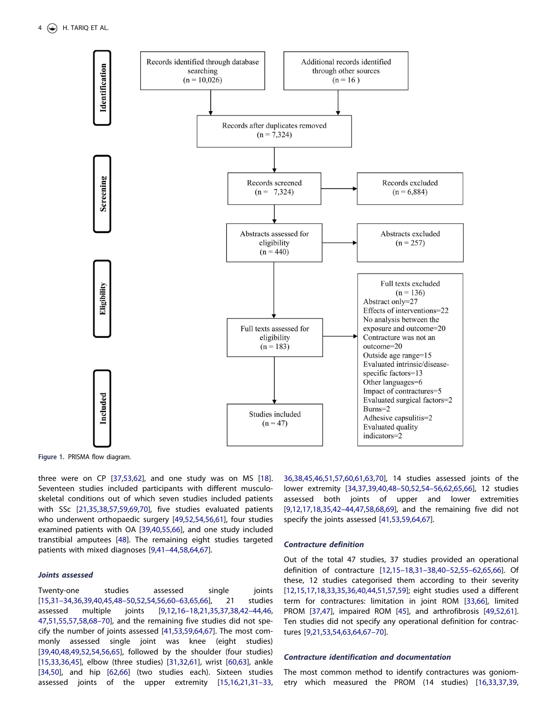<span id="page-3-0"></span>

**Figure 1.** PRISMA flow diagram.

three were on CP [[37](#page-16-0)[,53,62](#page-17-0)], and one study was on MS [\[18](#page-16-0)]. Seventeen studies included participants with different musculoskeletal conditions out of which seven studies included patients with SSc [\[21,35,38,](#page-16-0)[57,59,69,70\]](#page-17-0), five studies evaluated patients who underwent orthopaedic surgery [\[49](#page-16-0)[,52,54,56,61\]](#page-17-0), four studies examined patients with OA [[39,40](#page-16-0)[,55,66](#page-17-0)], and one study included transtibial amputees [\[48\]](#page-16-0). The remaining eight studies targeted patients with mixed diagnoses [\[9,](#page-15-0)[41–44](#page-16-0)[,58,64,67\]](#page-17-0).

# *Joints assessed*

Twenty-one studies assessed single joints [\[15,](#page-15-0)[31–34,36,39,40,45,48–50,](#page-16-0)[52,54,56,60–63,65,66\]](#page-17-0), 21 studies assessed multiple joints [\[9,12,16–18](#page-15-0)[,21,35,37,38,42–44,46,](#page-16-0) [47](#page-16-0),[51](#page-16-0)[,55,57,58,68–70](#page-17-0)], and the remaining five studies did not specify the number of joints assessed [\[41,](#page-16-0)[53,59,64,67\]](#page-17-0). The most commonly assessed single joint was knee (eight studies) [\[39,40,48,49,](#page-16-0)[52](#page-17-0),[54](#page-17-0),[56,65](#page-17-0)], followed by the shoulder (four studies) [\[15,](#page-15-0)[33,36,45\]](#page-16-0), elbow (three studies) [\[31,32](#page-16-0)[,61\]](#page-17-0), wrist [[60](#page-17-0),[63](#page-17-0)], ankle [\[34,50\]](#page-16-0), and hip [[62,66](#page-17-0)] (two studies each). Sixteen studies assessed joints of the upper extremity [[15,16,](#page-15-0)[21](#page-16-0),[31–33,](#page-16-0)

[36,38](#page-16-0),[45](#page-16-0),[46,51](#page-16-0)[,57,60,61,63,70\]](#page-17-0), 14 studies assessed joints of the lower extremity [\[34,37,39,40,48–50,](#page-16-0)[52,54–56,62,65,66](#page-17-0)], 12 studies assessed both joints of upper and lower extremities [\[9,12,](#page-15-0)[17](#page-16-0),[18,35,42–44](#page-16-0),[47](#page-16-0)[,58,68,69](#page-17-0)], and the remaining five did not specify the joints assessed [\[41](#page-16-0)[,53,59,64,67\]](#page-17-0).

# *Contracture definition*

Out of the total 47 studies, 37 studies provided an operational definition of contracture [[12,15–18](#page-15-0),[31–38,40–52](#page-16-0)[,55–62,65,66\]](#page-17-0). Of these, 12 studies categorised them according to their severity [\[12,15,](#page-15-0)[17,18,33,35,36](#page-16-0),[40,44,51](#page-16-0)[,57,59\]](#page-17-0); eight studies used a different term for contractures: limitation in joint ROM [[33,](#page-16-0)[66\]](#page-17-0), limited PROM [\[37,47\]](#page-16-0), impaired ROM [[45](#page-16-0)], and arthrofibrosis [[49,](#page-16-0)[52](#page-17-0),[61](#page-17-0)]. Ten studies did not specify any operational definition for contractures [\[9,](#page-15-0)[21,](#page-16-0)[53](#page-17-0),[54,63,64,67–70](#page-17-0)].

### *Contracture identification and documentation*

The most common method to identify contractures was goniometry which measured the PROM (14 studies) [\[16](#page-15-0)[,33,37,39,](#page-16-0)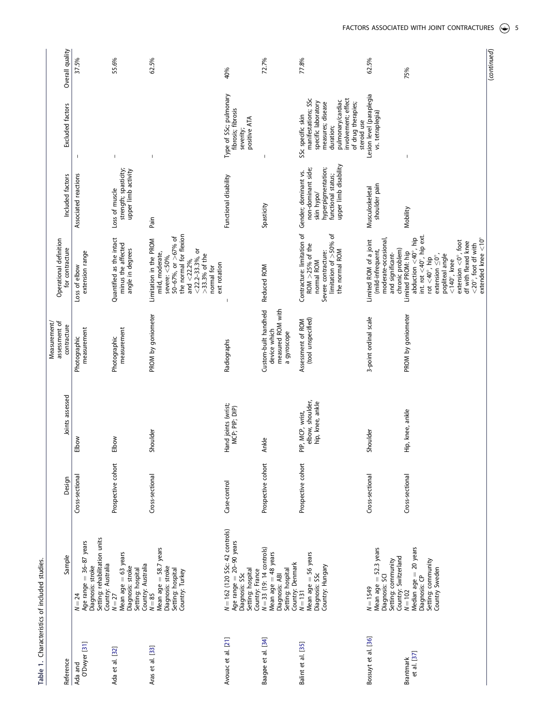| i<br>くうしょ      |  |
|----------------|--|
| <b>CISTING</b> |  |
| ŧ<br>ī         |  |
| <br>i u u u    |  |
|                |  |
|                |  |

<span id="page-4-0"></span>

| Overall quality                              | 37.5%                                                                                                             | 55.6%                                                                                           | 62.5%                                                                                                                                                                                                  | 40%                                                                                              | 72.7%                                                                                                                         | 77.8%                                                                                                                                                                              | 62.5%                                                                                                       | 75%                                                                                                                                                                                                                          |
|----------------------------------------------|-------------------------------------------------------------------------------------------------------------------|-------------------------------------------------------------------------------------------------|--------------------------------------------------------------------------------------------------------------------------------------------------------------------------------------------------------|--------------------------------------------------------------------------------------------------|-------------------------------------------------------------------------------------------------------------------------------|------------------------------------------------------------------------------------------------------------------------------------------------------------------------------------|-------------------------------------------------------------------------------------------------------------|------------------------------------------------------------------------------------------------------------------------------------------------------------------------------------------------------------------------------|
| Excluded factors                             | J.                                                                                                                | $\overline{\phantom{a}}$                                                                        | $\mathbf{I}$                                                                                                                                                                                           | Type of SSc; pulmonary<br>fibrosis; fibrosis<br>positive ATA<br>severity;                        | J                                                                                                                             | manifestations; SSc<br>involvement; effect<br>pulmonary/cardiac<br>specific laboratory<br>measures; disease<br>of drug therapies;<br>SSc specific skin<br>steroid use<br>duration; | Lesion level (paraplegia<br>vs. tetraplegia)                                                                |                                                                                                                                                                                                                              |
| Included factors                             | Associated reactions                                                                                              | strength; spasticity;<br>upper limb activity<br>Loss of muscle                                  | Pain                                                                                                                                                                                                   | Functional disability                                                                            | Spasticity                                                                                                                    | upper limb disability<br>hyperpigmentation;<br>non-dominant side;<br>Gender; dominant vs.<br>functional status;<br>skin hypo/                                                      | shoulder pain<br>Musculoskeletal                                                                            | Mobility                                                                                                                                                                                                                     |
| Operational definition<br>for contracture    | extension range<br>Loss of elbow                                                                                  | Quantified as the intact<br>minus the affected<br>angle in degrees                              | the normal for flexion<br>50-67%, or >67% of<br>Limitation in the PROM<br>$<$ 22.2-33.3%, or<br>mild, moderate,<br>$>33.3%$ of the<br>severe: $<$ 50%,<br>and $<$ 22.2%,<br>ext rotation<br>normal for |                                                                                                  | Reduced ROM                                                                                                                   | Contracture: limitation of<br>limitation of >50% of<br>ROM $>$ 25% of the<br>the normal ROM<br>Severe contracture:<br>normal ROM                                                   | moderate-occasional,<br>Limited ROM of a joint<br>chronic problem)<br>(mild-infrequent,<br>and significant- | int. rot $\langle 40^\circ, h$ ip ext<br>abduction $\lt40^\circ$ , hip<br>extension $\langle 0^\circ,$ foot<br>Limited PROM: hip<br>extension $\leq$ 0°,<br>popliteal angle<br>rot $<$ 40°, hip<br>$<$ 140 $^{\circ}$ , knee |
| Measurement/<br>assessment of<br>contracture | measurement<br>Photographic                                                                                       | measurement<br>Photographic                                                                     | PROM by goniometer                                                                                                                                                                                     | Radiographs                                                                                      | Custom-built handheld<br>measured ROM with<br>device which<br>a gyroscope                                                     | (tool unspecified)<br>Assessment of ROM                                                                                                                                            | 3-point ordinal scale                                                                                       | PROM by goniometer                                                                                                                                                                                                           |
| Joints assessed                              | Elbow                                                                                                             | Elbow                                                                                           | Shoulder                                                                                                                                                                                               | Hand joints (wrist;<br>MCP; PIP; DIP)                                                            | Ankle                                                                                                                         | elbow, shoulder,<br>hip, knee, ankle<br>PIP, MCP, wrist,                                                                                                                           | Shoulder                                                                                                    | Hip, knee, ankle                                                                                                                                                                                                             |
| Design                                       | Cross-sectional                                                                                                   | Prospective cohort                                                                              | Cross-sectional                                                                                                                                                                                        | Case-control                                                                                     | Prospective cohort                                                                                                            | Prospective cohort                                                                                                                                                                 | Cross-sectional                                                                                             | Cross-sectional                                                                                                                                                                                                              |
| Sample                                       | Setting: rehabilitation units<br>Age range $=$ 36-87 years<br>Country: Australia<br>Diagnosis: stroke<br>$N = 24$ | Mean age $= 63$ years<br>Country: Australia<br>Diagnosis: stroke<br>Setting: hospital<br>$N=27$ | Mean age = 58.7 years<br>Diagnosis: stroke<br>Setting: hospital<br>Country: Turkey<br>$N = 85$                                                                                                         | N = 162 (120 SSc: 42 controls)<br>Age range = 20-90 years<br>Setting: hospital<br>Diagnosis: SSc | Country: France<br>N = 33 (19: 14 controls)<br>Mean age = 48 years<br>Country: Denmark<br>Setting: hospital<br>Diagnosis: ABI | Mean age = 56 years<br>Country: Hungary<br>Diagnosis: SSc<br>$N = 131$                                                                                                             | Mean age $=$ 52.3 years<br>Country: Switzerland<br>Setting: community<br>Diagnosis: SCI<br>$N = 1549$       | Median age = 20 years<br>Setting: community<br>Country Sweden<br>Diagnosis: CP<br>$N = 102$                                                                                                                                  |
| Reference                                    | O'Dwyer [31]<br>Ada and                                                                                           | Ada et al. [32]                                                                                 | Aras et al. [33]                                                                                                                                                                                       | Avouac et al. [21]                                                                               | Baagøe et al. [34]                                                                                                            | Balint et al. [35]                                                                                                                                                                 | Bossuyt et al. [36]                                                                                         | et al. [37]<br>Brantmark                                                                                                                                                                                                     |

(*continued*)

(continued)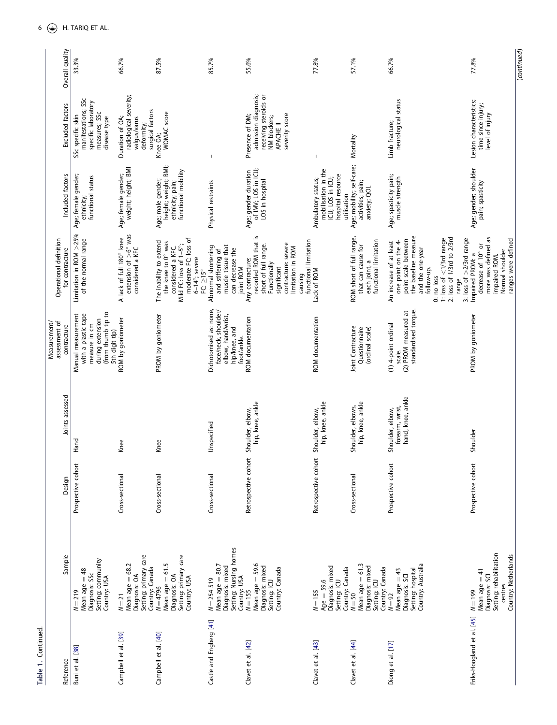| Overall quality                              | 33.3%                                                                                                                  | 66.7%                                                                                       | 87.5%                                                                                                                                                                | 85.7%                                                                                                | 55.6%                                                                                                                                                                           | 77.8%                                                                                             | 57.1%                                                                                    | 66.7%                                                                                                                                                                                                                                         | 77.8%                                                                                                                    | (continued) |
|----------------------------------------------|------------------------------------------------------------------------------------------------------------------------|---------------------------------------------------------------------------------------------|----------------------------------------------------------------------------------------------------------------------------------------------------------------------|------------------------------------------------------------------------------------------------------|---------------------------------------------------------------------------------------------------------------------------------------------------------------------------------|---------------------------------------------------------------------------------------------------|------------------------------------------------------------------------------------------|-----------------------------------------------------------------------------------------------------------------------------------------------------------------------------------------------------------------------------------------------|--------------------------------------------------------------------------------------------------------------------------|-------------|
| Excluded factors                             | manifestations; SSc<br>specific laboratory<br>measures; SSc<br>SSc specific skin<br>disease type                       | radiological severity;<br>surgical factors<br>Duration of OA;<br>valgus/varus<br>deformity; | <b>WOMAC</b> score<br>Knee OA;                                                                                                                                       | $\mathsf I$                                                                                          | admission diagnosis;<br>receiving steroids or<br>severity score<br>Presence of DM;<br>NM blockers;<br>APACHE II                                                                 |                                                                                                   | Mortality                                                                                | neurological status<br>Limb fracture;                                                                                                                                                                                                         | Lesion characteristics;<br>time since injury;<br>level of injury                                                         |             |
| Included factors                             | Age; female gender;<br>functional status<br>ethnicity;                                                                 | weight; height; BMI<br>Age; female gender;                                                  | height; weight; BMI;<br>functional mobility<br>Age; male gender;<br>ethnicity; pain;                                                                                 | Physical restraints                                                                                  | Age; gender duration<br>of IMV; LOS in ICU;<br>LOS in hospital                                                                                                                  | mobilisation in the<br>hospital resource<br>ICU; LOS in ICU;<br>Ambulatory status;<br>utilisation | Age; mobility; self-care;<br>activities; pain;<br>anxiety; QOL                           | Age; spasticity pain;<br>muscle strength                                                                                                                                                                                                      | Age; gender; shoulder<br>pain; spasticity                                                                                |             |
| Operational definition<br>for contracture    | Limitation in ROM >25%<br>of the normal range                                                                          | extension of $>6^{\circ}$ was<br>considered a KFC<br>A lack of full 180° knee               | moderate FC: loss of<br>The inability to extend<br>the knee to 0° was<br>Mild FC: loss of 1-5°;<br>considered a KFC.<br>$6-14^\circ$ ; severe<br>FC: $\geq 15^\circ$ | muscle tissue that<br>Abnormal shortening<br>can decrease the<br>and stiffening of<br>joint ROM      | recorded ROM that is<br>functional limitation<br>contracture: severe<br>short of full range.<br>limitation in ROM<br>Any contracture:<br>Functionally<br>significant<br>causing | Lack of ROM                                                                                       | ROM short of full range,<br>each joint, a<br>functional limitation<br>that can cause for | the baseline measure<br>2: loss of 1/3rd to 2/3rd<br>1: loss of <1/3rd range<br>3: $loss of >2/3rd range$<br>point scale between<br>one point on the 4-<br>An increase of at least<br>and the one-year<br>follow-up.<br>no loss<br>range<br>ö | more was defined as<br>ranges were defined<br>decrease of 10° or<br>Normal shoulder<br>Impaired PROM: a<br>impaired ROM. |             |
| Measurement/<br>assessment of<br>contracture | (from thumb tip to<br>Manual measurement<br>with a plastic tape<br>during extension<br>measure in cm<br>5th digit tip) | ROM by goniometer                                                                           | PROM by goniometer                                                                                                                                                   | Dichotomised as: none,<br>face/neck, shoulder/<br>elbow, hand/wrist,<br>hip/knee, and<br>foot/ankle. | ROM documentation                                                                                                                                                               | ROM documentation                                                                                 | Joint Contracture<br>(ordinal scale)<br>Questionnaire                                    | standardised torque.<br>(2) PROM measured at<br>(1) 4-point ordinal<br>scale.                                                                                                                                                                 | PROM by goniometer                                                                                                       |             |
| Joints assessed                              | Hand                                                                                                                   | Knee                                                                                        | Knee                                                                                                                                                                 | Unspecified                                                                                          | hip, knee, ankle<br>Shoulder, elbow,                                                                                                                                            | hip, knee, ankle<br>Shoulder, elbow,                                                              | hip, knee, ankle<br>Shoulder, elbows,                                                    | hand, knee, ankle<br>forearm, wrist,<br>Shoulder, elbow,                                                                                                                                                                                      | Shoulder                                                                                                                 |             |
| Design                                       | Prospective cohort                                                                                                     | Cross-sectional                                                                             | Cross-sectional                                                                                                                                                      | Cross-sectional                                                                                      | Retrospective cohort                                                                                                                                                            | Retrospective cohort                                                                              | Cross-sectional                                                                          | Prospective cohort                                                                                                                                                                                                                            | Prospective cohort                                                                                                       |             |
| Sample                                       | Setting: community<br>Mean age = 48<br>Diagnosis: SSc<br>Country: USA<br>$N = 219$                                     | Setting: primary care<br>Mean age $= 68.2$<br>Country: Canada<br>Diagnosis: OA<br>$N = 21$  | Setting: primary care<br>Mean age $= 61.5$<br>Diagnosis: OA<br>Country: USA<br>$N = 4796$                                                                            | Setting: Nursing homes<br>Mean age = 80.7<br>Diagnosis: mixed<br>Country: USA<br>$N = 254519$        | Mean age $=$ 59.6<br>Diagnosis: mixed<br>Country: Canada<br>Setting: ICU<br>$N = 155$                                                                                           | Diagnosis: mixed<br>Country: Canada<br>Setting: ICU<br>$Age = 59.6$<br>$N = 155$                  | Mean age $= 61.3$<br>Diagnosis: mixed<br>Country: Canada<br>Setting: ICU<br>$N = 50$     | Country: Australia<br>Setting: hospital<br>43<br>Diagnosis: SCI<br>Mean age =<br>$N = 92$                                                                                                                                                     | Setting: rehabilitation<br>Country: Netherlands<br>Mean age $= 41$<br>Diagnosis: SCI<br>centres<br>$N = 199$             |             |
| Reference                                    | Buni et al. [38]                                                                                                       | Campbell et al. [39]                                                                        | Campbell et al. [40]                                                                                                                                                 | Castle and Engberg [41]                                                                              | Clavet et al. [42]                                                                                                                                                              | Clavet et al. [43]                                                                                | Clavet et al. [44]                                                                       | Diong et al. [17]                                                                                                                                                                                                                             | Eriks-Hoogland et al. [45]                                                                                               |             |

 $6 \quad \circledast$  H. TARIQ ET AL.

Table 1. Continued. **Table 1.** Continued.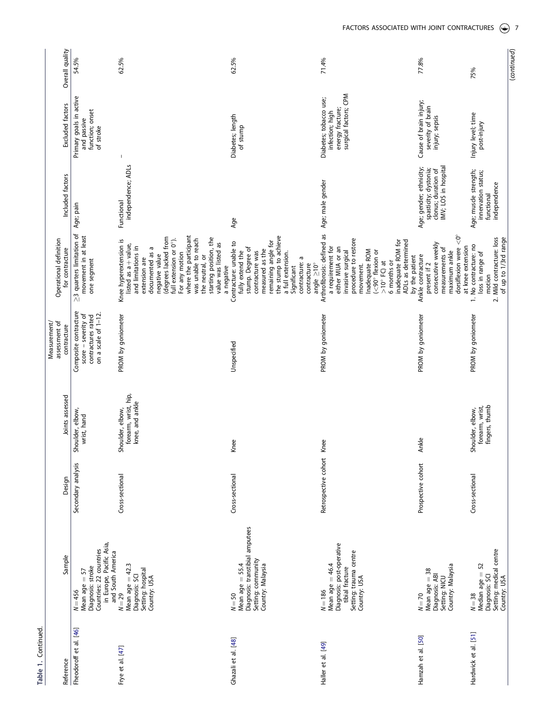| ف<br>⊽<br>⊆<br>Ξ<br>ţ |
|-----------------------|
|                       |
|                       |

| Overall quality                              | 54.5%                                                                                                                         | 62.5%                                                                                                                                                                                                                                                                                                                            | 62.5%                                                                                                                                                                                                                                        | 71.4%                                                                                                                                                                                                                                                                          | 77.8%                                                                                                                                        | 75%                                                                                                      |
|----------------------------------------------|-------------------------------------------------------------------------------------------------------------------------------|----------------------------------------------------------------------------------------------------------------------------------------------------------------------------------------------------------------------------------------------------------------------------------------------------------------------------------|----------------------------------------------------------------------------------------------------------------------------------------------------------------------------------------------------------------------------------------------|--------------------------------------------------------------------------------------------------------------------------------------------------------------------------------------------------------------------------------------------------------------------------------|----------------------------------------------------------------------------------------------------------------------------------------------|----------------------------------------------------------------------------------------------------------|
| Excluded factors                             | Primary goals in active<br>function; onset<br>and passive<br>of stroke                                                        |                                                                                                                                                                                                                                                                                                                                  | Diabetes; length<br>of stump                                                                                                                                                                                                                 | surgical factors; CPM<br>Diabetes; tobacco use;<br>energy fracture;<br>infection; high                                                                                                                                                                                         | Cause of brain injury;<br>severity of brain<br>injury; sepsis                                                                                | Injury level; time<br>post-injury                                                                        |
| Included factors                             | Age; pain                                                                                                                     | independence; ADLs<br>Functional                                                                                                                                                                                                                                                                                                 | Age                                                                                                                                                                                                                                          | Age; male gender                                                                                                                                                                                                                                                               | clonus; duration of<br>IMV; LOS in hospital<br>Age; gender; ethnicity;<br>spasticity; dystonia;                                              | Age; muscle strength;<br>innervation status;<br>independence<br>functional                               |
| Operational definition<br>for contracture    | $\geq$ 3 quarters limitation of<br>movement in at least<br>one segment                                                        | where the participant<br>(degrees lacked from<br>full extension or 0°).<br>starting position, the<br>was unable to reach<br>Knee hyperextension is<br>value was listed as<br>listed as a + value,<br>and limitations in<br>documented as a<br>For any motion<br>negative value<br>the neutral, or<br>extension are<br>a negative | the stump to achieve<br>a full extension.<br>remaining angle for<br>Contracture: unable to<br>stump. Degree of<br>measured as the<br>contracture was<br>fully extend the<br>contracture: a<br>contracture<br>angle $\geq$ 10°<br>Significant | Arthrofibrosis: defined as<br>procedure to restore<br>ADLs as determined<br>inadequate ROM for<br>a requirement for<br>either MUA or an<br>Inadequate ROM<br>$(< 90^\circ$ flexion or<br>invasive surgical<br>by the patient<br>$>10^\circ$ FC) at<br>6 months or<br>movement. | dorsiflexion were $<$ 0°<br>consecutive weekly<br>at knee extension<br>measurements of<br>maximum ankle<br>Ankle contracture<br>present if 2 | 2. Mild contracture: loss<br>of up to 1/3rd range<br>1. No contracture: no<br>loss in range of<br>motion |
| assessment of<br>Measurement/<br>contracture | Composite contracture<br>on a scale of $1-12$ .<br>score - severity of<br>contractures rated                                  | PROM by goniometer                                                                                                                                                                                                                                                                                                               | Unspecified                                                                                                                                                                                                                                  | PROM by goniometer                                                                                                                                                                                                                                                             | PROM by goniometer                                                                                                                           | PROM by goniometer                                                                                       |
| Joints assessed                              | Shoulder, elbow,<br>wrist, hand                                                                                               | forearm, wrist, hip,<br>knee, and ankle<br>Shoulder, elbow,                                                                                                                                                                                                                                                                      | Knee                                                                                                                                                                                                                                         | Knee                                                                                                                                                                                                                                                                           | Ankle                                                                                                                                        | fingers, thumb<br>forearm, wrist,<br>Shoulder, elbow,                                                    |
| Design                                       | Secondary analysis                                                                                                            | Cross-sectional                                                                                                                                                                                                                                                                                                                  | Cross-sectional                                                                                                                                                                                                                              | Retrospective cohort                                                                                                                                                                                                                                                           | Prospective cohort                                                                                                                           | Cross-sectional                                                                                          |
| Sample                                       | in Europe, Pacific Asia,<br>Countries: 22 countries<br>and South America<br>Diagnosis: stroke<br>Mean age $= 57$<br>$N = 456$ | Mean age $= 42.3$<br>Setting: hospital<br>Diagnosis: SCI<br>Country: USA<br>$N = 29$                                                                                                                                                                                                                                             | Diagnosis: transtibial amputees<br>Setting: community<br>Mean age $=$ 55.4<br>Country: Malaysia<br>$N = 50$                                                                                                                                  | Diagnosis: post-operative<br>Setting: trauma centre<br>Mean age $=46.4$<br>tibial fracture<br>Country: USA<br>$N = 186$                                                                                                                                                        | Country: Malaysia<br>Mean age = 38<br>Diagnosis: ABI<br>Setting: NICU<br>$N = 70$                                                            | Setting: medical centre<br>Median age = 52<br>Diagnosis: SCI<br>Country: USA<br>$N = 38$                 |
| Reference                                    | Fheodoroff et al. [46]                                                                                                        | Frye et al. [47]                                                                                                                                                                                                                                                                                                                 | Ghazali et al. [48]                                                                                                                                                                                                                          | Haller et al. [49]                                                                                                                                                                                                                                                             | Hamzah et al. [50]                                                                                                                           | Hardwick et al. [51]                                                                                     |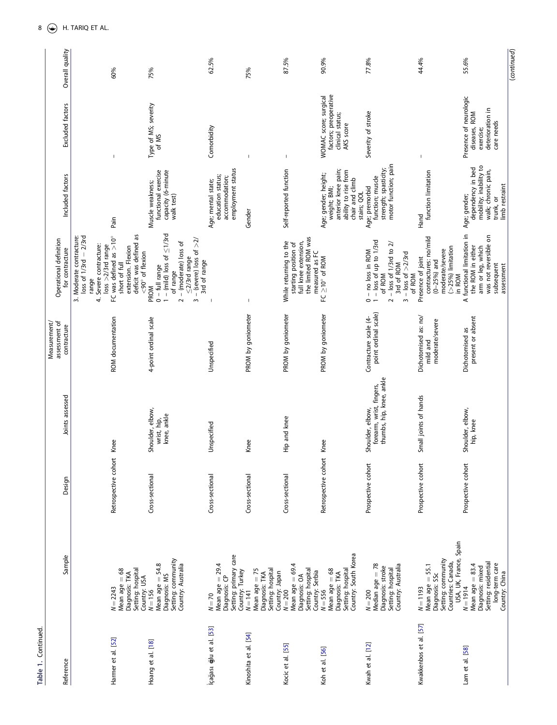| Table 1. Continued      |                                                                                                                       |                      |                                                                          |                                                     |                                                                                                                                                                                                                                                               |                                                                                                                       |                                                                                        |                 |
|-------------------------|-----------------------------------------------------------------------------------------------------------------------|----------------------|--------------------------------------------------------------------------|-----------------------------------------------------|---------------------------------------------------------------------------------------------------------------------------------------------------------------------------------------------------------------------------------------------------------------|-----------------------------------------------------------------------------------------------------------------------|----------------------------------------------------------------------------------------|-----------------|
| Reference               | Sample                                                                                                                | Design               | Joints assessed                                                          | Measurement/<br>assessment of<br>contracture        | Operational definition<br>for contracture                                                                                                                                                                                                                     | Included factors                                                                                                      | Excluded factors                                                                       | Overall quality |
| Harmer et al. [52]      | Mean age = 68<br>Setting: hospital<br>Diagnosis: TKA<br>Country: USA<br>$N = 2243$                                    | Retrospective cohort | Knee                                                                     | ROM documentation                                   | deficit was defined as<br>FC was defined as $>10^{\circ}$<br>Moderate contracture:<br>$loss of 1/3rd - 2/3rd$<br>4. Severe contracture:<br>$loss > 2/3rd$ range<br>extension. Flexion<br>$<$ 90 $^{\circ}$ of flexion<br>short of full<br>range<br>$\ddot{ }$ | Pain                                                                                                                  | $\overline{\phantom{a}}$                                                               | 60%             |
| Hoang et al. [18]       | Setting: community<br>Mean age = 54.8<br>Country: Australia<br>Diagnosis: MS<br>$N = 156$                             | Cross-sectional      | Shoulder, elbow,<br>knee, ankle<br>wrist, hip,                           | 4-point ordinal scale                               | $1 - (mid)$ loss of $\leq$ 1/3rd<br>3 – (severe) loss of $>2/$<br>$2 - (moderate)$ loss of<br>$\leq$ 2/3rd range<br>3rd of range<br>$0 - full range$<br>of range<br>PROM                                                                                      | functional exercise<br>capacity (6-minute<br>Muscle weakness;<br>walk test)                                           | Type of MS; severity<br>of MS                                                          | 75%             |
| İçağası ğlu et al. [53] | Setting: primary care<br>Mean age $= 29.4$<br>Country: Turkey<br>Diagnosis: CP<br>$N = 70$                            | Cross-sectional      | Unspecified                                                              | Unspecified                                         |                                                                                                                                                                                                                                                               | employment status<br>education status;<br>accommodation;<br>Age; mental state;                                        | Comorbidity                                                                            | 62.5%           |
| Kinoshita et al. [54]   | Mean age $= 75$<br>Setting: hospital<br>Country: Japan<br>Diagnosis: TKA<br>$N = 141$                                 | Cross-sectional      | Knee                                                                     | PROM by goniometer                                  | $\overline{\phantom{a}}$                                                                                                                                                                                                                                      | Gender                                                                                                                |                                                                                        | 75%             |
| Kocic et al. [55]       | Mean age = 69.4<br>Setting: hospital<br>Country: Serbia<br>Diagnosis: OA<br>$N = 200$                                 | Cross-sectional      | Hip and knee                                                             | PROM by goniometer                                  | the limited ROM was<br>While returning to the<br>full knee extension,<br>starting position of<br>measured as FC                                                                                                                                               | Self-reported function                                                                                                | $\mathsf I$                                                                            | 87.5%           |
| Koh et al. [56]         | Country: South Korea<br>Mean age = 68<br>Setting: hospital<br>Diagnosis: TKA<br>$N = 556$                             | Retrospective cohort | Knee                                                                     | PROM by goniometer                                  | $FC \geq 10^{\circ}$ of ROM                                                                                                                                                                                                                                   | anterior knee pain;<br>ability to rise from<br>Age; gender; height;<br>chair and climb<br>weight; BMI;<br>stairs; QOL | factors; preoperative<br>WOMAC score; surgical<br>clinical status;<br>AKS score        | 90.9%           |
| Kwah et al. [12]        | Median age = 78<br>Setting: hospital<br>Country: Australia<br>Diagnosis: stroke<br>$N = 200$                          | Prospective cohort   | thumbs, hip, knee, ankle<br>forearm, wrist, fingers,<br>Shoulder, elbow, | point ordinal scale)<br>Contracture scale (4-       | $1 -$ loss of up to $1/3$ rd<br>$2 - loss$ of 1/3rd to 2/<br>3rd of ROM<br>$0 - no$ loss in ROM<br>$3 - loss$ of $>2/3rd$<br>of ROM<br>of ROM                                                                                                                 | motor function; pain<br>strength; spasticity;<br>Age; premorbid<br>function; muscle                                   | Severity of stroke                                                                     | 77.8%           |
| Kwakkenbos et al. [57]  | USA, UK, France, Spain<br>Setting: community<br>Countries: Canada,<br>Mean age = 55.1<br>Diagnosis: SSc<br>$N = 1193$ | Prospective cohort   | Small joints of hands                                                    | Dichotomised as: no/<br>moderate/severe<br>mild and | contractures: no/mild<br>(>25%) limitation<br>moderate/severe<br>Presence of joint<br>$(0-25\%)$ and<br>in ROM                                                                                                                                                | function limitation<br>Hand                                                                                           |                                                                                        | 44.4%           |
| Lam et al. [58]         | Setting: residential<br>long-term care<br>Country: China<br>Mean age $= 83.4$<br>Diagnosis: mixed<br>$N = 1914$       | Prospective cohort   | Shoulder, elbow,<br>hip, knee                                            | present or absent<br>Dichotomised as                | functional limitation in<br>was not reversible on<br>the ROM in either<br>arm or leg, which<br>subsequent<br>assessment<br>$\prec$                                                                                                                            | mobility; inability to<br>dependency in bed<br>walk; chronic pain,<br>limb restraint<br>Age; gender;<br>trunk, or     | Presence of neurologic<br>deterioration in<br>diseases, ROM<br>care needs<br>exercise; | 55.6%           |
|                         |                                                                                                                       |                      |                                                                          |                                                     |                                                                                                                                                                                                                                                               |                                                                                                                       |                                                                                        | (continued)     |

 $8 \quad \circled{\leftrightarrow} \quad H.$  TARIQ ET AL.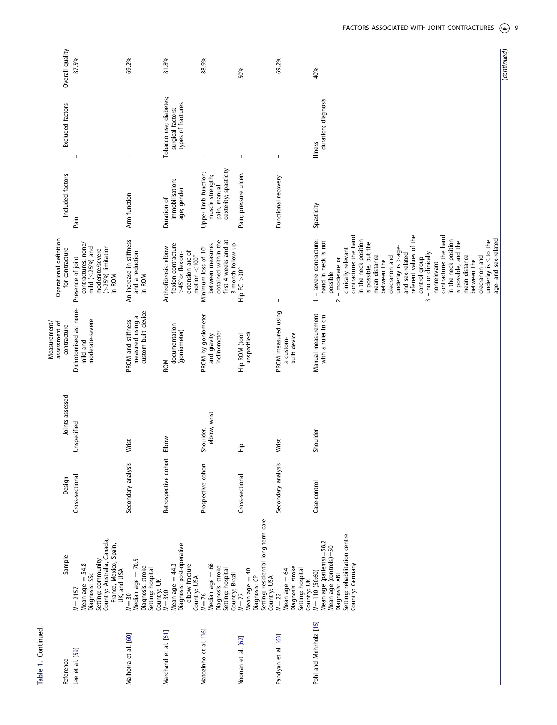| Table 1. Continued     |                                                                                                                                                              |                      |                           |                                                               |                                                                                                                                                                                                                                                                                                                                                                                                                                                                                                                                                   |                                                                                   |                                                                   |                 |
|------------------------|--------------------------------------------------------------------------------------------------------------------------------------------------------------|----------------------|---------------------------|---------------------------------------------------------------|---------------------------------------------------------------------------------------------------------------------------------------------------------------------------------------------------------------------------------------------------------------------------------------------------------------------------------------------------------------------------------------------------------------------------------------------------------------------------------------------------------------------------------------------------|-----------------------------------------------------------------------------------|-------------------------------------------------------------------|-----------------|
| Reference              | Sample                                                                                                                                                       | Design               | Joints assessed           | assessment of<br>Measurement/<br>contracture                  | Operational definition<br>for contracture                                                                                                                                                                                                                                                                                                                                                                                                                                                                                                         | Included factors                                                                  | Excluded factors                                                  | Overall quality |
| Lee et al. [59]        | Country: Australia, Canada,<br>France, Mexico, Spain,<br>Setting: community<br>54.8<br>UK, and USA<br>Diagnosis: SSc<br>Mean age =<br>$N = 2157$             | Cross-sectional      | Unspecified               | Dichotomised as: none-<br>moderate-severe<br>mild and         | contractures: none/<br>(>25%) limitation<br>mild $(525%)$ and<br>moderate/severe<br>Presence of joint<br>in ROM                                                                                                                                                                                                                                                                                                                                                                                                                                   | Pain                                                                              | $\overline{\phantom{a}}$                                          | 87.5%           |
| Malhotra et al. [60]   | rj.<br>Median age = 70.<br>Diagnosis: stroke<br>Setting: hospital<br>Country: UK<br>$N=30$                                                                   | Secondary analysis   | Wrist                     | measured using a<br>custom-built device<br>PROM and stiffness | An increase in stiffness<br>and a reduction<br>in ROM                                                                                                                                                                                                                                                                                                                                                                                                                                                                                             | Arm function                                                                      | J                                                                 | 69.2%           |
| Marchand et al. [61]   | Diagnosis: post-operative<br>Mean age $= 44.3$<br>elbow fracture<br>Country: USA<br>$N = 390$                                                                | Retrospective cohort | Elbow                     | documentation<br>(goniometer)<br><b>ROM</b>                   | flexion contracture<br>Arthrofibrosis: elbow<br>extension arc of<br>>45° or flexion-<br>motion $<$ 100 $^{\circ}$                                                                                                                                                                                                                                                                                                                                                                                                                                 | immobilisation;<br>age; gender<br>Duration of                                     | Tobacco use; diabetes;<br>types of fractures<br>surgical factors; | 81.8%           |
| Matozinho et al. [16]  | Median age = 66<br>Diagnosis: stroke<br>Setting: hospital<br>Country: Brazil<br>$N = 76$                                                                     | Prospective cohort   | elbow, wrist<br>Shoulder, | PROM by goniometer<br>inclinometer<br>and gravity             | obtained within the<br>first 4 weeks and at<br>between measures<br>3-month follow-up<br>Minimum loss of 10°                                                                                                                                                                                                                                                                                                                                                                                                                                       | dexterity; spasticity<br>Upper limb function;<br>muscle strength;<br>pain, manual | $\mathsf I$                                                       | 88.9%           |
| Noonan et al. [62]     | Setting: residential long-term care<br>Mean age = 40<br>Diagnosis: CP<br>Country: USA<br>$N = 77$                                                            | Cross-sectional      | .<br>도                    | unspecified)<br>Hip ROM (tool                                 | Hip FC >30°                                                                                                                                                                                                                                                                                                                                                                                                                                                                                                                                       | Pain; pressure ulcers                                                             | $\mathsf I$                                                       | 50%             |
| Pandyan et al. [63]    | Diagnosis: stroke<br>Setting: hospital<br>Mean age = 64<br>$N = 22$                                                                                          | Secondary analysis   | Wrist                     | PROM measured using<br>built device<br>a custom-              | $\sf I$                                                                                                                                                                                                                                                                                                                                                                                                                                                                                                                                           | Functional recovery                                                               | $\mathsf I$                                                       | 69.2%           |
| Pohl and Mehrholz [15] | Setting: rehabilitation centre<br>Mean age (patients)=58.2<br>Mean age (controls)=50<br>Country: Germany<br>Country: UK<br>N = 110 (50:60)<br>Diagnosis: ABI | Case-control         | Shoulder                  | Manual measurement<br>with a ruler in cm                      | contracture: the hand<br>referent values of the<br>contracture: the hand<br>age- and sex-related<br>in the neck position<br>in the neck position<br>- severe contracture:<br>hand in neck is not<br>underlay is $\leq$ to the<br>is possible, and the<br>is possible, but the<br>$underlay$ is $>$ age-<br>dinically relevant<br>and sex-related<br>3 - no or clinically<br>olecranon and<br>mean distance<br>mean distance<br>olecranon and<br>control group<br>- moderate or<br>between the<br>between the<br>nonrelevant<br>possible<br>$\sim$ | Spasticity                                                                        | duration; diagnosis<br>Illness                                    | 40%             |

(*continued*)

(continued)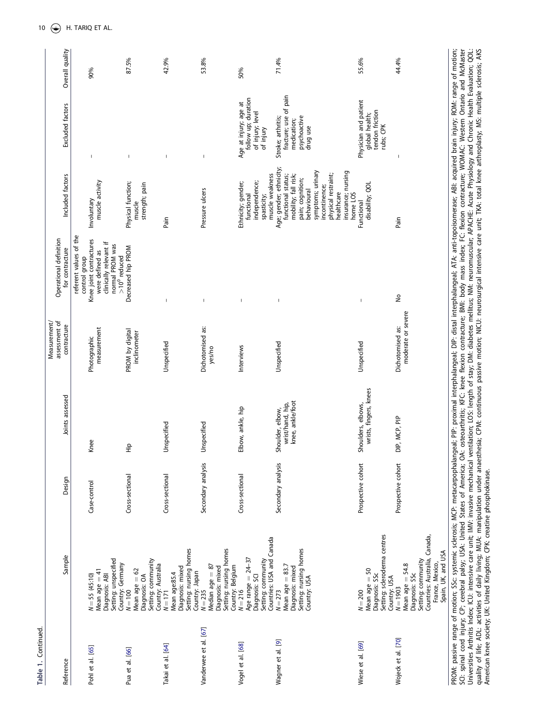| c |
|---|

| Reference             | Sample                                                                                                                                          | Design             | Joints assessed                                          | assessment of<br>Measurement/<br>contracture | Operational definition<br>for contracture                                                                                                             | Included factors                                                                                                                                                                                                      | Excluded factors                                                                       | Overall quality |
|-----------------------|-------------------------------------------------------------------------------------------------------------------------------------------------|--------------------|----------------------------------------------------------|----------------------------------------------|-------------------------------------------------------------------------------------------------------------------------------------------------------|-----------------------------------------------------------------------------------------------------------------------------------------------------------------------------------------------------------------------|----------------------------------------------------------------------------------------|-----------------|
| Pohl et al. [65]      | Setting: unspecified<br>Mean age $= 41$<br>Diagnosis: ABI<br>$N = 55(45:10)$                                                                    | Case-control       | Knee                                                     | measurement<br>Photographic                  | referent values of the<br>Knee joint contractures<br>clinically relevant if<br>normal PROM was<br>were defined as<br>$>10^0$ reduced<br>control group | muscle activity<br>Involuntary                                                                                                                                                                                        | $\mathsf I$                                                                            | 90%             |
| Pua et al. [66]       | Setting: community<br>Country: Germany<br>N = 100<br>Mean age $= 62$<br>Diagnosis: OA                                                           | Cross-sectional    | .<br>도                                                   | PROM by digital<br>inclinometer              | Decreased hip PROM                                                                                                                                    | Physical function;<br>strength; pain<br>muscle                                                                                                                                                                        | $\overline{\phantom{a}}$                                                               | 87.5%           |
| Takai et al. [64]     | Setting: nursing homes<br>Country: Australia<br>N = 171<br>Diagnosis: mixed<br>Mean age:85.4                                                    | Cross-sectional    | Unspecified                                              | Unspecified                                  |                                                                                                                                                       | Pain                                                                                                                                                                                                                  | $\mathbf{I}$                                                                           | 42.9%           |
| Vanderwee et al. [67] | Setting: nursing homes<br>Median age = 87<br>Diagnosis: mixed<br>Country: Japan $N = 235$                                                       | Secondary analysis | Unspecified                                              | Dichotomised as:<br>yes/no                   | $\overline{\phantom{a}}$                                                                                                                              | Pressure ulcers                                                                                                                                                                                                       | $\mathsf I$                                                                            | 53.8%           |
| Vogel et al. [68]     | Countries: USA and Canada<br>Age range $= 24-37$<br>Setting: community<br>Country: Belgium<br>N=216<br>Diagnosis: SCI                           | Cross-sectional    | Elbow, ankle, hip                                        | Interviews                                   |                                                                                                                                                       | muscle weakness<br>Ethnicity; gender;<br>independence;<br>spasticity;<br>functional                                                                                                                                   | follow up; duration<br>Age at injury; age at<br>of injury; level<br>of injury          | 50%             |
| Wagner et al. [9]     | Setting: nursing homes<br>Mean age $= 83.7$<br>Diagnosis: mixed<br>Country: USA<br>$N = 273$                                                    | Secondary analysis | knee, ankle/foot<br>wrist/hand, hip,<br>Shoulder, elbow, | Unspecified                                  |                                                                                                                                                       | Age; gender; ethnicity;<br>symptoms; urinary<br>insurance; nursing<br>physical restraint;<br>functional status;<br>mobility; fall risk;<br>pain; cognition;<br>incontinence;<br>behavioural<br>healthcare<br>home LOS | fracture; use of pain<br>Stroke; arthritis;<br>psychoactive<br>medication;<br>drug use | 71.4%           |
| Wiese et al. [69]     | Setting: scleroderma centres<br>Mean age $=$ 50<br>Diagnosis: SSc<br>Country: USA<br>$N = 200$                                                  | Prospective cohort | wrists, fingers, knees<br>Shoulders, elbows,             | Unspecified                                  |                                                                                                                                                       | disability; QOL<br>Functional                                                                                                                                                                                         | Physician and patient<br>tendon friction<br>global health;<br>rubs; CPK                | 55.6%           |
| Wojeck et al. [70]    | Countries: Australia, Canada,<br>Spain, UK, and USA<br>Setting: community<br>France, Mexico,<br>Mean age = 54.8<br>Diagnosis: SSc<br>$N = 1903$ | Prospective cohort | DIP, MCP, PIP                                            | moderate or severe<br>Dichotomised as:       | $\frac{1}{2}$                                                                                                                                         | Pain                                                                                                                                                                                                                  | I                                                                                      | 44.4%           |

PROM: passive range of motion; SSc: systemic sclerosis; MCP: metacarpophalangeal; PIP: proximal interphalangeal; DIP: distal interphalangeal; ATA: anti-topoisomerase; ABI: acquired brain injury; ROM: range of motion;<br>SCI: PROM: passive range of motion; SSc: systemic sclerosis; MCP: metacarpophalangeal; PIP: proximal interphalangeal; DIP: distal interphalangeal; ATA: anti-topoisomerase; ABI: acquired brain injury; ROM: range of motion; SCI: spinal cord injury; CP; cerebral palsy; USA: United States of America; OA: osteoarthritis; KFC: knee flexion contracture; BMI: body mass index; FC: flexion contracture; WOMAC: Western Ontario and McMaster Universities Arthritis Index; ICU: intensive care unit; IMV: invasive mechanical ventilation; LOS: length of stay; DM: diabetes mellitus; NM: neuromuscular; APACHE: Acute Physiology and Chronic Health Evaluation; QOL: quality of life; ADL: activities of daily living; MUA: manipulation under anaesthesia; CPM: continuous passive motion; NICU: neurosurgical intensive care unit; TKA: total knee arthroplasty; MS: multiple sclerosis; AKS American knee society; UK: United Kingdom; CPK: creatine phosphokinase.

10  $\left(\rightarrowright)$  H. TARIQ ET AL.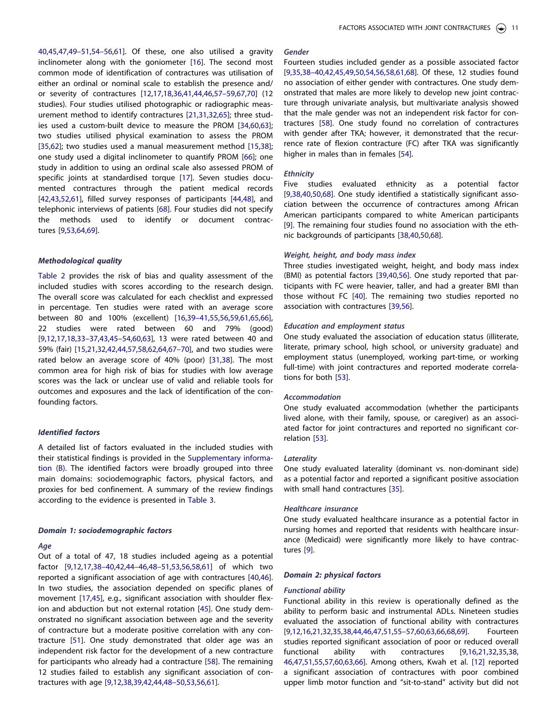[40](#page-16-0),[45,47,49–51](#page-16-0),[54–56,61](#page-17-0)]. Of these, one also utilised a gravity inclinometer along with the goniometer [[16](#page-15-0)]. The second most common mode of identification of contractures was utilisation of either an ordinal or nominal scale to establish the presence and/ or severity of contractures [\[12,](#page-15-0)[17,18,36](#page-16-0),[41](#page-16-0),[44,46](#page-16-0)[,57–59](#page-17-0),[67,70](#page-17-0)] (12 studies). Four studies utilised photographic or radiographic measurement method to identify contractures [\[21,31,32,](#page-16-0)[65\]](#page-17-0); three studies used a custom-built device to measure the PROM [[34](#page-16-0),[60,63](#page-17-0)]; two studies utilised physical examination to assess the PROM [\[35,](#page-16-0)[62\]](#page-17-0); two studies used a manual measurement method [\[15](#page-15-0)[,38](#page-16-0)]; one study used a digital inclinometer to quantify PROM [\[66](#page-17-0)]; one study in addition to using an ordinal scale also assessed PROM of specific joints at standardised torque [\[17](#page-16-0)]. Seven studies documented contractures through the patient medical records [\[42,43,](#page-16-0)[52,61\]](#page-17-0), filled survey responses of participants [[44](#page-16-0),[48](#page-16-0)], and telephonic interviews of patients [\[68](#page-17-0)]. Four studies did not specify the methods used to identify or document contractures [\[9,](#page-15-0)[53](#page-17-0),[64,69](#page-17-0)].

### *Methodological quality*

[Table 2](#page-11-0) provides the risk of bias and quality assessment of the included studies with scores according to the research design. The overall score was calculated for each checklist and expressed in percentage. Ten studies were rated with an average score between 80 and 100% (excellent) [[16,](#page-15-0)[39–41,](#page-16-0)[55,56,59](#page-17-0),[61](#page-17-0),[65,66](#page-17-0)], 22 studies were rated between 60 and 79% (good) [\[9](#page-15-0),[12](#page-15-0),[17,18,33–37](#page-16-0),[43,45–54](#page-16-0),[60,63](#page-17-0)], 13 were rated between 40 and 59% (fair) [\[15,](#page-15-0)[21,32,42,44,](#page-16-0)[57](#page-17-0),[58](#page-17-0),[62,64,67–70](#page-17-0)], and two studies were rated below an average score of 40% (poor) [[31,38\]](#page-16-0). The most common area for high risk of bias for studies with low average scores was the lack or unclear use of valid and reliable tools for outcomes and exposures and the lack of identification of the confounding factors.

### *Identified factors*

A detailed list of factors evaluated in the included studies with their statistical findings is provided in the [Supplementary informa](https://doi.org/10.1080/09638288.2022.2071480)[tion \(B\)](https://doi.org/10.1080/09638288.2022.2071480). The identified factors were broadly grouped into three main domains: sociodemographic factors, physical factors, and proxies for bed confinement. A summary of the review findings according to the evidence is presented in [Table 3.](#page-13-0)

### *Domain 1: sociodemographic factors*

### *Age*

Out of a total of 47, 18 studies included ageing as a potential factor [\[9,12](#page-15-0),[17](#page-16-0),[38–40,42](#page-16-0),[44–46,48–51,](#page-16-0)[53,56,58,61](#page-17-0)] of which two reported a significant association of age with contractures [\[40,46](#page-16-0)]. In two studies, the association depended on specific planes of movement [\[17,45\]](#page-16-0), e.g., significant association with shoulder flexion and abduction but not external rotation [[45](#page-16-0)]. One study demonstrated no significant association between age and the severity of contracture but a moderate positive correlation with any contracture [\[51\]](#page-16-0). One study demonstrated that older age was an independent risk factor for the development of a new contracture for participants who already had a contracture [[58\]](#page-17-0). The remaining 12 studies failed to establish any significant association of contractures with age [\[9,12,](#page-15-0)[38](#page-16-0),[39,42,44,48–50](#page-16-0)[,53,56,61](#page-17-0)].

# *Gender*

Fourteen studies included gender as a possible associated factor [\[9,](#page-15-0)[35,38–40,42,45,49](#page-16-0),[50](#page-16-0)[,54,56,58,61,68\]](#page-17-0). Of these, 12 studies found no association of either gender with contractures. One study demonstrated that males are more likely to develop new joint contracture through univariate analysis, but multivariate analysis showed that the male gender was not an independent risk factor for contractures [[58](#page-17-0)]. One study found no correlation of contractures with gender after TKA; however, it demonstrated that the recurrence rate of flexion contracture (FC) after TKA was significantly higher in males than in females [[54\]](#page-17-0).

#### *Ethnicity*

Five studies evaluated ethnicity as a potential factor [\[9,](#page-15-0)[38,40](#page-16-0),[50](#page-16-0)[,68](#page-17-0)]. One study identified a statistically significant association between the occurrence of contractures among African American participants compared to white American participants [\[9\]](#page-15-0). The remaining four studies found no association with the ethnic backgrounds of participants [[38](#page-16-0),[40](#page-16-0),[50](#page-16-0)[,68](#page-17-0)].

### *Weight, height, and body mass index*

Three studies investigated weight, height, and body mass index (BMI) as potential factors [\[39,40](#page-16-0)[,56\]](#page-17-0). One study reported that participants with FC were heavier, taller, and had a greater BMI than those without FC [\[40](#page-16-0)]. The remaining two studies reported no association with contractures [\[39](#page-16-0)[,56](#page-17-0)].

#### *Education and employment status*

One study evaluated the association of education status (illiterate, literate, primary school, high school, or university graduate) and employment status (unemployed, working part-time, or working full-time) with joint contractures and reported moderate correlations for both [\[53\]](#page-17-0).

# *Accommodation*

One study evaluated accommodation (whether the participants lived alone, with their family, spouse, or caregiver) as an associated factor for joint contractures and reported no significant correlation [\[53](#page-17-0)].

### *Laterality*

One study evaluated laterality (dominant vs. non-dominant side) as a potential factor and reported a significant positive association with small hand contractures [\[35](#page-16-0)].

#### *Healthcare insurance*

One study evaluated healthcare insurance as a potential factor in nursing homes and reported that residents with healthcare insurance (Medicaid) were significantly more likely to have contractures [\[9\]](#page-15-0).

### *Domain 2: physical factors*

#### *Functional ability*

Functional ability in this review is operationally defined as the ability to perform basic and instrumental ADLs. Nineteen studies evaluated the association of functional ability with contractures [\[9,12,16](#page-15-0),[21,32,35,38,44,46,47,51,](#page-16-0)[55–57,60,63,66,68](#page-17-0),[69](#page-17-0)]. Fourteen studies reported significant association of poor or reduced overall functional ability with contractures [[9,16](#page-15-0)[,21,32,35,38,](#page-16-0) [46,47](#page-16-0),[51](#page-16-0),[55,57,60,63,66\]](#page-17-0). Among others, Kwah et al. [[12](#page-15-0)] reported a significant association of contractures with poor combined upper limb motor function and "sit-to-stand" activity but did not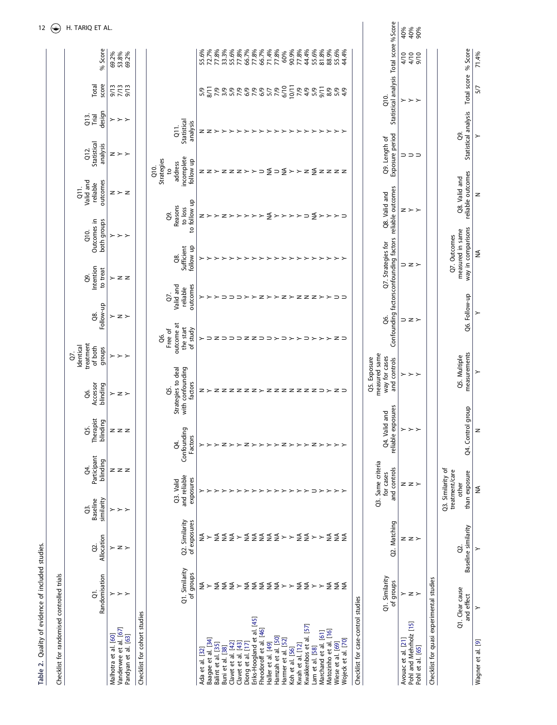<span id="page-11-0"></span>

| Checklist for randomised controlled trials                           |                                                   |                                                        |                                                               |                               |                              |                                                                |                                                       |                                                               |                                                        |                                          |                                                          |                                              |                                           |                                                             |                         | €               |
|----------------------------------------------------------------------|---------------------------------------------------|--------------------------------------------------------|---------------------------------------------------------------|-------------------------------|------------------------------|----------------------------------------------------------------|-------------------------------------------------------|---------------------------------------------------------------|--------------------------------------------------------|------------------------------------------|----------------------------------------------------------|----------------------------------------------|-------------------------------------------|-------------------------------------------------------------|-------------------------|-----------------|
|                                                                      | Randomisation<br>ā                                | Allocation<br>S.                                       | Baseline<br>similarity<br>Ġ.                                  | Participant<br>blinding<br>đ. | Therapist<br>blinding<br>G5. | Accessor<br>blinding<br>Q6.                                    | treatment<br>Identical<br>of both<br>groups<br>ð      | Follow-up<br>$\overline{Q}$ 8.                                | Intention<br>to treat<br>8                             | Outcomes in<br>both groups<br>Q10.       | outcomes<br>Valid and<br>reliable<br>$\overline{c}$      | Statistical<br>analysis<br>Q <sub>12</sub> . | design<br>$rac{13}{110}$                  | Total<br>score                                              | % Score                 | H. TARIQ ET AL. |
| Vanderwee et al. [67]<br>Malhotra et al. [60]<br>Pandyan et al. [63] | $\mathord{\succ} \mathord{\succ} \mathord{\succ}$ | > z >                                                  | $\mathord{\succ} \mathord{\succ} \mathord{\succ}$             | zzz                           | $z \overline{z}$             | > z >                                                          | $>\,>$                                                | > z >                                                         | $>$ z z                                                | ≻<br>$>$ $>$                             | $z \succ z$                                              | $z \succ$                                    | $>\,>$                                    | ers<br>252                                                  | 53.8%<br>69.2%<br>69.2% |                 |
| Checklist for cohort studies                                         |                                                   |                                                        |                                                               |                               |                              |                                                                |                                                       |                                                               |                                                        |                                          |                                                          |                                              |                                           |                                                             |                         |                 |
|                                                                      | Q1. Similarity<br>of groups                       | Q2. Similarity<br>of exposures                         | and reliable<br>exposures<br>Q3. Valid                        | Confoundin<br>Factors<br>đ.   | g                            | Strategies to deal<br>with confounding<br>factors<br>Ś         | outcome at<br>the start<br>of study<br>Free of<br>Q6. | Valid and<br>outcomes<br>reliable<br>ò.                       | follow up<br>Sufficient<br>8.                          | to follow up<br>Reasons<br>to loss<br>පි | incomplete<br>Strategies<br>follow up<br>address<br>Q10. |                                              | Statistical<br>analysis<br>$\overline{a}$ |                                                             |                         |                 |
| Ada et al. [32]                                                      | ₹                                                 | ≨                                                      |                                                               | ≻                             |                              |                                                                |                                                       |                                                               |                                                        | z                                        |                                                          |                                              | z                                         | 5/9                                                         | 55.6%                   |                 |
| Baagøe et al. [34]<br>Balint et al. [35]                             | ≨<br>≻                                            | ≨                                                      |                                                               | ≻                             |                              |                                                                | z<br>⊃                                                | ≻                                                             |                                                        | ≻<br>≻                                   |                                                          |                                              | $z \succ$                                 |                                                             | 77.8%<br>72.7%          |                 |
| Buni et al. [38]                                                     |                                                   | ≨≨                                                     |                                                               |                               |                              |                                                                |                                                       | ⊃                                                             |                                                        |                                          |                                                          |                                              |                                           |                                                             | 33.3%                   |                 |
| Clavet et al. [42]                                                   | ≨≨                                                | $\left. \right.$                                       |                                                               |                               |                              |                                                                | コココヱヱココン                                              | $\supset \supset \succ$                                       | ≻                                                      |                                          |                                                          |                                              | $\succ$<br>≻                              |                                                             | 55.6%                   |                 |
| Clavet et al. [43]<br>Diong et al. [17]                              | $\succ$                                           |                                                        |                                                               |                               |                              |                                                                |                                                       |                                                               | ≻                                                      |                                          |                                                          |                                              | ≻                                         |                                                             | 77.8%<br>66.7%          |                 |
| Eriks-Hoogland et al. [45]                                           |                                                   |                                                        |                                                               |                               |                              |                                                                |                                                       |                                                               | ≻                                                      |                                          |                                                          |                                              | $\succ$                                   |                                                             | 77.8%                   |                 |
| Fheodoroff et al. [46]<br>Haller et al. [49]                         | $55552$ $\rightarrow$ $55$ $\rightarrow$          | $55222$ $\rightarrow$ $55$ $\rightarrow$ $\rightarrow$ |                                                               |                               |                              |                                                                |                                                       |                                                               | ≻<br>≻                                                 |                                          |                                                          |                                              | $\succ$<br>$\succ$                        |                                                             | 66.7%<br>71.4%          |                 |
| Hamzah et al. [50]                                                   |                                                   |                                                        |                                                               |                               |                              |                                                                |                                                       |                                                               | ≻                                                      |                                          |                                                          |                                              | ≻                                         |                                                             | 77.8%                   |                 |
| Harmer et al. [52]                                                   |                                                   |                                                        | ≻                                                             |                               |                              |                                                                | $\supset$ $\succ$                                     |                                                               | ≻<br>≻                                                 |                                          |                                                          |                                              | ≻                                         |                                                             | 60%                     |                 |
| Kwah et al. [12]<br>Koh et al. [56]                                  |                                                   |                                                        | ><br>$\succ$                                                  |                               |                              |                                                                |                                                       |                                                               |                                                        |                                          |                                                          |                                              | $\succ$<br>$\succ$                        | 7/9                                                         | 90.9%<br>77.8%          |                 |
| Kwakkenbos et al. [57]                                               |                                                   |                                                        | ≻                                                             |                               |                              |                                                                | $\supset$                                             |                                                               | $\mathbb{b}$ $\mathbb{b}$                              |                                          |                                                          |                                              | ≻                                         | 4/9                                                         | 44.4%                   |                 |
| Lam et al. [58]                                                      |                                                   |                                                        | $\supset$                                                     |                               |                              |                                                                |                                                       |                                                               | ≻                                                      |                                          |                                                          |                                              | ≻                                         | $\frac{2}{6}$<br>9/11                                       | 55.6%                   |                 |
| Matozinho et al. [16]<br>Marchand et al. [61]                        |                                                   |                                                        | $\succ$<br>≻                                                  |                               |                              |                                                                | $>$ $>$ $>$                                           |                                                               | ≻<br>≻                                                 |                                          |                                                          |                                              | ≻<br>$\succ$                              | 8/8                                                         | 81.8%<br>88.9%          |                 |
| Wojeck et al. [70]<br>Wiese et al. [69]                              | ≨≨≨                                               | ≨≨≨                                                    | ≻                                                             |                               |                              |                                                                | ヱコ                                                    | > z > > z > z z z > > p p                                     | ≻                                                      | z>>>>> { >>>>> = { > >>>                 | zz>zzz>>⊃{>{>>>z{zzzz                                    |                                              | ≻                                         | 5/9<br>4/9                                                  | 55.6%<br>44.4%          |                 |
| Checklist for case-control studies                                   |                                                   |                                                        |                                                               |                               |                              |                                                                |                                                       |                                                               |                                                        |                                          |                                                          |                                              |                                           |                                                             |                         |                 |
|                                                                      | Q1. Similarity<br>of groups                       | Q2. Matching                                           | Q3. Same criteria<br>and controls<br>for cases                | reliable                      | exposures<br>Q4. Valid and   | measured same<br>way for cases<br>Q5. Exposure<br>and controls |                                                       | Confounding factorsconfounding factors reliable outcomes<br>ఠ | Q7. Strategies for                                     | Q8. Valid and                            |                                                          | Exposure period<br>Q9. Length of             |                                           | Statistical analysis Total score % Score<br>Q <sub>10</sub> |                         |                 |
| Avouac et al. [21]                                                   |                                                   |                                                        |                                                               |                               | $\succ$                      |                                                                |                                                       |                                                               |                                                        |                                          |                                                          |                                              |                                           | ≻                                                           | 4/10                    | 40%             |
| Pohl and Mehrholz [15]<br>Pohl et al. [65]                           | > z >                                             | z z >                                                  | z z >                                                         |                               | $>$ $>$                      | $>\,>$                                                         |                                                       | ⊃z≻                                                           | ⊃z≻                                                    | $z \rangle$                              |                                                          | コココ                                          |                                           | $>$ $>$                                                     | 4/10<br>9/10            | 40%<br>90%      |
| Checklist for quasi experimental studies                             |                                                   |                                                        |                                                               |                               |                              |                                                                |                                                       |                                                               |                                                        |                                          |                                                          |                                              |                                           |                                                             |                         |                 |
|                                                                      | Q1. Clear cause<br>and effect                     | Baseline similarity<br>S.                              | Q3. Similarity of<br>treatment/care<br>than exposure<br>other |                               | Q4. Control group            | measurements<br>Q5. Multiple                                   |                                                       | Q6. Follow-up                                                 | way in comparisons<br>measured in same<br>Q7. Outcomes |                                          | reliable outcomes<br>Q8. Valid and                       |                                              | Statistical analysis<br>පි                | Total score                                                 | % Score                 |                 |
| Wagner et al. [9]                                                    | $\succ$                                           | $\succ$                                                | ≸                                                             |                               | z                            | ≻                                                              |                                                       | ≻                                                             | ≨                                                      |                                          | z                                                        |                                              | $\succ$                                   | 5/7                                                         | 71.4%                   |                 |

**Table 2.** Quality of evidence of included studies.

Table 2. Quality of evidence of included studies.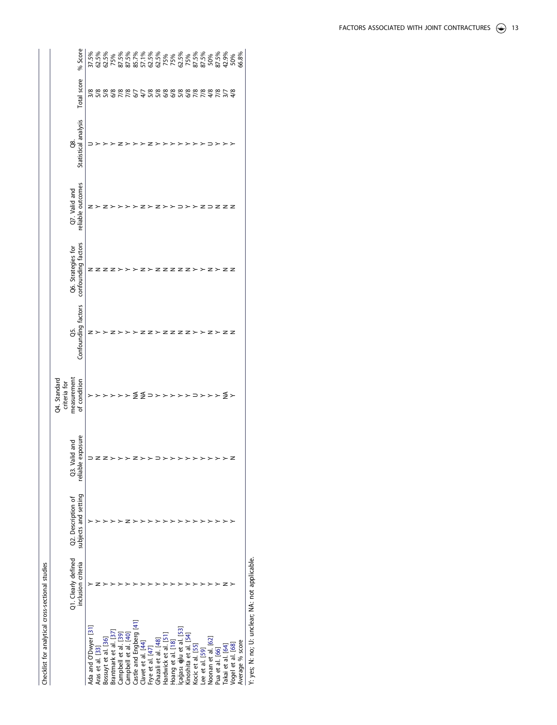| ì<br>i<br>T             |
|-------------------------|
| -wtical cross-sectional |
| .or analytic            |
|                         |
|                         |

|                                | Q1. Clearly defined | Q2. Description of   | and<br>Q3. Valid  | Q4. Standard<br>measurement<br>criteria for | Ğ.                        | Q6. Strategies for  | Q7. Valid and     | 88.                  |                                                                                                  |         |
|--------------------------------|---------------------|----------------------|-------------------|---------------------------------------------|---------------------------|---------------------|-------------------|----------------------|--------------------------------------------------------------------------------------------------|---------|
|                                | inclusion criteria  | subjects and setting | reliable exposure | of condition                                | Confounding factors       | confounding factors | reliable outcomes | Statistical analysis | Total score                                                                                      | % Score |
| da and O'Dwyer [31             |                     |                      |                   |                                             |                           |                     | z                 |                      |                                                                                                  |         |
| Aras et al. [33]               |                     |                      |                   |                                             |                           |                     |                   |                      |                                                                                                  |         |
| Bossuyt et al. [36]            |                     |                      | z                 |                                             |                           |                     |                   |                      |                                                                                                  |         |
| Brantmark et al.               |                     |                      |                   |                                             |                           |                     |                   |                      | s v v v 9 v 1 v 9 4 v v 9 9 v 9 v 9 1 v 4 v 4 4<br>8 8 8 8 8 8 7 1 - 8 8 8 8 8 8 8 8 8 8 8 8 7 8 |         |
| Campbell et al. [39]           |                     |                      |                   |                                             |                           |                     |                   |                      |                                                                                                  |         |
| Campbell et al. [40]           |                     |                      |                   |                                             |                           |                     |                   |                      |                                                                                                  |         |
| Castle and Engberg [41]        |                     |                      |                   |                                             |                           |                     |                   |                      |                                                                                                  |         |
| lavet et al. [44]              |                     |                      |                   | ≨≨⊃                                         |                           |                     |                   |                      |                                                                                                  |         |
| rye et al. [47                 |                     |                      |                   |                                             |                           |                     |                   |                      |                                                                                                  |         |
| shazali et al. [48]            |                     |                      |                   | $\rightarrow$                               | $Z \succ Z Z Z$           | z                   | z                 |                      |                                                                                                  |         |
| lardwick et al. [51]           |                     |                      |                   | $\rightarrow$                               |                           | $\geq$              | >                 |                      |                                                                                                  |         |
| loang et al. [18]              |                     |                      |                   | $\rightarrow$                               |                           |                     | د -               |                      |                                                                                                  |         |
| çağası <b>ğ</b> lu et al. [53] |                     |                      |                   |                                             |                           | z                   |                   |                      |                                                                                                  |         |
| Gnoshita et al. [54]           |                     |                      |                   |                                             | z                         | $\geq$              | ٠                 |                      |                                                                                                  |         |
| Kocic et al. [55]              |                     |                      |                   | $\supset$ $\succ$                           | $\mathbb{b}$ $\mathbb{b}$ |                     | >                 |                      |                                                                                                  |         |
| ee et al. [59]                 |                     |                      |                   |                                             |                           | د .                 | . z               |                      |                                                                                                  |         |
| Voonan et al. [62]             |                     |                      |                   | $\rightarrow$                               | z                         |                     |                   |                      |                                                                                                  |         |
| Pua et al. [66]                |                     |                      | >                 | ≻                                           | $\succ$                   | $\overline{ }$      | ZZZ               |                      |                                                                                                  |         |
| 「akai et al. [64]              |                     |                      | $\overline{ }$    | ≨≻                                          | z                         | z                   |                   |                      |                                                                                                  |         |
| Vogel et al. [68]              |                     |                      | z                 |                                             | z                         |                     |                   |                      |                                                                                                  |         |
| Average % score                |                     |                      |                   |                                             |                           |                     |                   |                      |                                                                                                  |         |
|                                |                     |                      |                   |                                             |                           |                     |                   |                      |                                                                                                  |         |

Y: yes; N: no; U: unclear; NA: not applicable. Y: yes; N: no; U: unclear; NA: not applicable.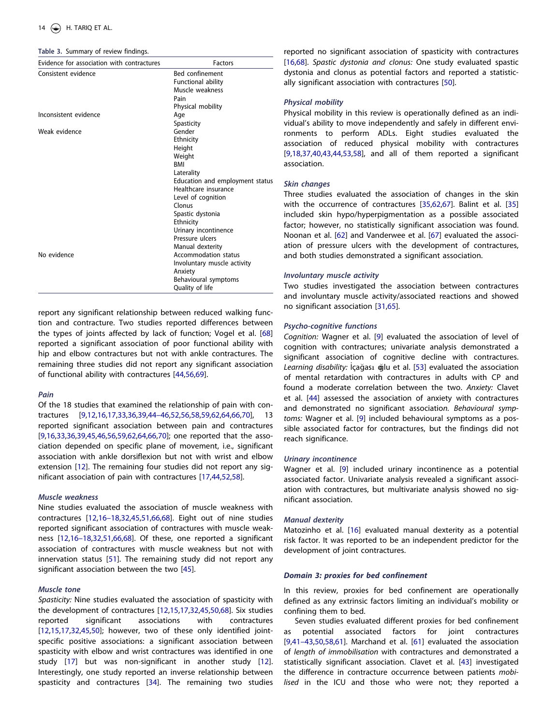<span id="page-13-0"></span>**Table 3.** Summary of review findings.

| Evidence for association with contractures | <b>Factors</b>                                                                                                                                                                                                                                                 |
|--------------------------------------------|----------------------------------------------------------------------------------------------------------------------------------------------------------------------------------------------------------------------------------------------------------------|
| Consistent evidence                        | <b>Bed confinement</b><br>Functional ability<br>Muscle weakness<br>Pain<br>Physical mobility                                                                                                                                                                   |
| Inconsistent evidence                      | Age<br>Spasticity                                                                                                                                                                                                                                              |
| Weak evidence                              | Gender<br>Ethnicity<br>Height<br>Weight<br><b>BMI</b><br>Laterality<br>Education and employment status<br>Healthcare insurance<br>Level of cognition<br>Clonus<br>Spastic dystonia<br>Ethnicity<br>Urinary incontinence<br>Pressure ulcers<br>Manual dexterity |
| No evidence                                | Accommodation status<br>Involuntary muscle activity<br>Anxiety<br>Behavioural symptoms<br>Quality of life                                                                                                                                                      |

report any significant relationship between reduced walking function and contracture. Two studies reported differences between the types of joints affected by lack of function; Vogel et al. [[68](#page-17-0)] reported a significant association of poor functional ability with hip and elbow contractures but not with ankle contractures. The remaining three studies did not report any significant association of functional ability with contractures [[44](#page-16-0)[,56,69](#page-17-0)].

# *Pain*

Of the 18 studies that examined the relationship of pain with contractures [[9,12,16,](#page-15-0)[17,33,36](#page-16-0),[39,44–46,](#page-16-0)[52](#page-17-0),[56,58,59,62,64,66,70\]](#page-17-0), 13 reported significant association between pain and contractures [\[9](#page-15-0),[16](#page-15-0),[33,36,39,45,46](#page-16-0)[,56,59,62,64,66](#page-17-0),[70](#page-17-0)]; one reported that the association depended on specific plane of movement, i.e., significant association with ankle dorsiflexion but not with wrist and elbow extension [[12\]](#page-15-0). The remaining four studies did not report any significant association of pain with contractures [[17,44,](#page-16-0)[52,58](#page-17-0)].

### *Muscle weakness*

Nine studies evaluated the association of muscle weakness with contractures [[12,16–18](#page-15-0)[,32,45,51,](#page-16-0)[66](#page-17-0),[68](#page-17-0)]. Eight out of nine studies reported significant association of contractures with muscle weakness [[12,16–18,](#page-15-0)[32,51,](#page-16-0)[66](#page-17-0),[68](#page-17-0)]. Of these, one reported a significant association of contractures with muscle weakness but not with innervation status [[51](#page-16-0)]. The remaining study did not report any significant association between the two [\[45\]](#page-16-0).

### *Muscle tone*

*Spasticity:* Nine studies evaluated the association of spasticity with the development of contractures [[12](#page-15-0),[15](#page-15-0),[17,32,45,50](#page-16-0)[,68\]](#page-17-0). Six studies reported significant associations with contractures [\[12,15,](#page-15-0)[17,32,45](#page-16-0),[50](#page-16-0)]; however, two of these only identified jointspecific positive associations: a significant association between spasticity with elbow and wrist contractures was identified in one study [\[17](#page-16-0)] but was non-significant in another study [\[12](#page-15-0)]. Interestingly, one study reported an inverse relationship between spasticity and contractures [[34\]](#page-16-0). The remaining two studies reported no significant association of spasticity with contractures [\[16](#page-15-0)[,68\]](#page-17-0). *Spastic dystonia and clonus:* One study evaluated spastic dystonia and clonus as potential factors and reported a statistically significant association with contractures [[50](#page-16-0)].

### *Physical mobility*

Physical mobility in this review is operationally defined as an individual's ability to move independently and safely in different environments to perform ADLs. Eight studies evaluated the association of reduced physical mobility with contractures [\[9,](#page-15-0)[18,37](#page-16-0),[40,43,44](#page-16-0)[,53,58\]](#page-17-0), and all of them reported a significant association.

# *Skin changes*

Three studies evaluated the association of changes in the skin with the occurrence of contractures [[35](#page-16-0)[,62,67](#page-17-0)]. Balint et al. [[35](#page-16-0)] included skin hypo/hyperpigmentation as a possible associated factor; however, no statistically significant association was found. Noonan et al. [[62\]](#page-17-0) and Vanderwee et al. [\[67\]](#page-17-0) evaluated the association of pressure ulcers with the development of contractures, and both studies demonstrated a significant association.

### *Involuntary muscle activity*

Two studies investigated the association between contractures and involuntary muscle activity/associated reactions and showed no significant association [[31](#page-16-0)[,65](#page-17-0)].

### *Psycho-cognitive functions*

*Cognition:* Wagner et al. [\[9\]](#page-15-0) evaluated the association of level of cognition with contractures; univariate analysis demonstrated a significant association of cognitive decline with contractures. Learning disability: İçağası ğlu et al. [[53](#page-17-0)] evaluated the association of mental retardation with contractures in adults with CP and found a moderate correlation between the two. *Anxiety:* Clavet et al. [\[44](#page-16-0)] assessed the association of anxiety with contractures and demonstrated no significant associatio*n. Behavioural symptoms:* Wagner et al. [\[9\]](#page-15-0) included behavioural symptoms as a possible associated factor for contractures, but the findings did not reach significance.

### *Urinary incontinence*

Wagner et al. [\[9\]](#page-15-0) included urinary incontinence as a potential associated factor. Univariate analysis revealed a significant association with contractures, but multivariate analysis showed no significant association.

### *Manual dexterity*

Matozinho et al. [\[16](#page-15-0)] evaluated manual dexterity as a potential risk factor. It was reported to be an independent predictor for the development of joint contractures.

# *Domain 3: proxies for bed confinement*

In this review, proxies for bed confinement are operationally defined as any extrinsic factors limiting an individual's mobility or confining them to bed.

Seven studies evaluated different proxies for bed confinement as potential associated factors for joint contractures [\[9,](#page-15-0)[41–43,50,](#page-16-0)[58,61\]](#page-17-0). Marchand et al. [\[61\]](#page-17-0) evaluated the association of *length of immobilisation* with contractures and demonstrated a statistically significant association. Clavet et al. [[43\]](#page-16-0) investigated the difference in contracture occurrence between patients *mobilised* in the ICU and those who were not; they reported a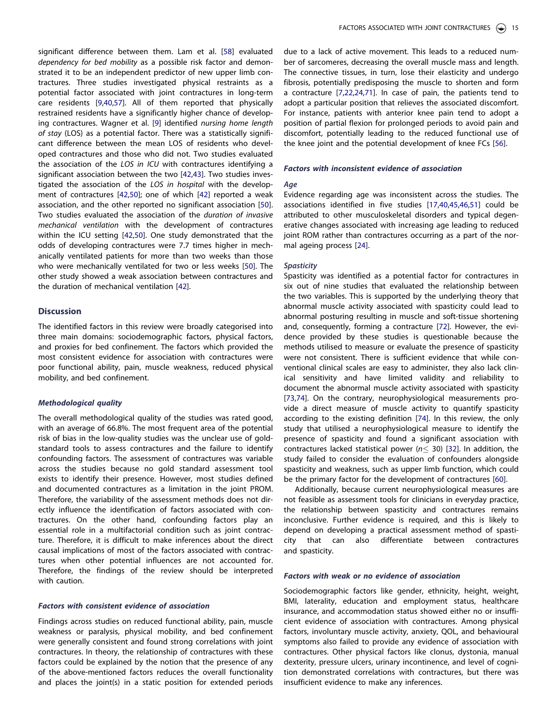<span id="page-14-0"></span>significant difference between them. Lam et al. [[58\]](#page-17-0) evaluated *dependency for bed mobility* as a possible risk factor and demonstrated it to be an independent predictor of new upper limb contractures. Three studies investigated physical restraints as a potential factor associated with joint contractures in long-term care residents [\[9,](#page-15-0)[40,](#page-16-0)[57\]](#page-17-0). All of them reported that physically restrained residents have a significantly higher chance of developing contractures. Wagner et al. [\[9\]](#page-15-0) identified *nursing home length of stay* (LOS) as a potential factor. There was a statistically significant difference between the mean LOS of residents who developed contractures and those who did not. Two studies evaluated the association of the *LOS in ICU* with contractures identifying a significant association between the two [\[42,43](#page-16-0)]. Two studies investigated the association of the *LOS in hospital* with the development of contractures [[42](#page-16-0),[50](#page-16-0)]; one of which [\[42\]](#page-16-0) reported a weak association, and the other reported no significant association [\[50](#page-16-0)]. Two studies evaluated the association of the *duration of invasive mechanical ventilation* with the development of contractures within the ICU setting [\[42,50](#page-16-0)]. One study demonstrated that the odds of developing contractures were 7.7 times higher in mechanically ventilated patients for more than two weeks than those who were mechanically ventilated for two or less weeks [[50\]](#page-16-0). The other study showed a weak association between contractures and the duration of mechanical ventilation [\[42](#page-16-0)].

### **Discussion**

The identified factors in this review were broadly categorised into three main domains: sociodemographic factors, physical factors, and proxies for bed confinement. The factors which provided the most consistent evidence for association with contractures were poor functional ability, pain, muscle weakness, reduced physical mobility, and bed confinement.

#### *Methodological quality*

The overall methodological quality of the studies was rated good, with an average of 66.8%. The most frequent area of the potential risk of bias in the low-quality studies was the unclear use of goldstandard tools to assess contractures and the failure to identify confounding factors. The assessment of contractures was variable across the studies because no gold standard assessment tool exists to identify their presence. However, most studies defined and documented contractures as a limitation in the joint PROM. Therefore, the variability of the assessment methods does not directly influence the identification of factors associated with contractures. On the other hand, confounding factors play an essential role in a multifactorial condition such as joint contracture. Therefore, it is difficult to make inferences about the direct causal implications of most of the factors associated with contractures when other potential influences are not accounted for. Therefore, the findings of the review should be interpreted with caution.

### *Factors with consistent evidence of association*

Findings across studies on reduced functional ability, pain, muscle weakness or paralysis, physical mobility, and bed confinement were generally consistent and found strong correlations with joint contractures. In theory, the relationship of contractures with these factors could be explained by the notion that the presence of any of the above-mentioned factors reduces the overall functionality and places the joint(s) in a static position for extended periods due to a lack of active movement. This leads to a reduced number of sarcomeres, decreasing the overall muscle mass and length. The connective tissues, in turn, lose their elasticity and undergo fibrosis, potentially predisposing the muscle to shorten and form a contracture [\[7](#page-15-0),[22,24](#page-16-0)[,71](#page-17-0)]. In case of pain, the patients tend to adopt a particular position that relieves the associated discomfort. For instance, patients with anterior knee pain tend to adopt a position of partial flexion for prolonged periods to avoid pain and discomfort, potentially leading to the reduced functional use of the knee joint and the potential development of knee FCs [[56\]](#page-17-0).

# *Factors with inconsistent evidence of association*

# *Age*

Evidence regarding age was inconsistent across the studies. The associations identified in five studies [[17,40](#page-16-0),[45](#page-16-0),[46,51](#page-16-0)] could be attributed to other musculoskeletal disorders and typical degenerative changes associated with increasing age leading to reduced joint ROM rather than contractures occurring as a part of the normal ageing process [[24](#page-16-0)].

### *Spasticity*

Spasticity was identified as a potential factor for contractures in six out of nine studies that evaluated the relationship between the two variables. This is supported by the underlying theory that abnormal muscle activity associated with spasticity could lead to abnormal posturing resulting in muscle and soft-tissue shortening and, consequently, forming a contracture [\[72](#page-17-0)]. However, the evidence provided by these studies is questionable because the methods utilised to measure or evaluate the presence of spasticity were not consistent. There is sufficient evidence that while conventional clinical scales are easy to administer, they also lack clinical sensitivity and have limited validity and reliability to document the abnormal muscle activity associated with spasticity [\[73,74\]](#page-17-0). On the contrary, neurophysiological measurements provide a direct measure of muscle activity to quantify spasticity according to the existing definition [\[74\]](#page-17-0). In this review, the only study that utilised a neurophysiological measure to identify the presence of spasticity and found a significant association with contractures lacked statistical power (*n*� 30) [[32\]](#page-16-0). In addition, the study failed to consider the evaluation of confounders alongside spasticity and weakness, such as upper limb function, which could be the primary factor for the development of contractures [[60](#page-17-0)].

Additionally, because current neurophysiological measures are not feasible as assessment tools for clinicians in everyday practice, the relationship between spasticity and contractures remains inconclusive. Further evidence is required, and this is likely to depend on developing a practical assessment method of spasticity that can also differentiate between contractures and spasticity.

# *Factors with weak or no evidence of association*

Sociodemographic factors like gender, ethnicity, height, weight, BMI, laterality, education and employment status, healthcare insurance, and accommodation status showed either no or insufficient evidence of association with contractures. Among physical factors, involuntary muscle activity, anxiety, QOL, and behavioural symptoms also failed to provide any evidence of association with contractures. Other physical factors like clonus, dystonia, manual dexterity, pressure ulcers, urinary incontinence, and level of cognition demonstrated correlations with contractures, but there was insufficient evidence to make any inferences.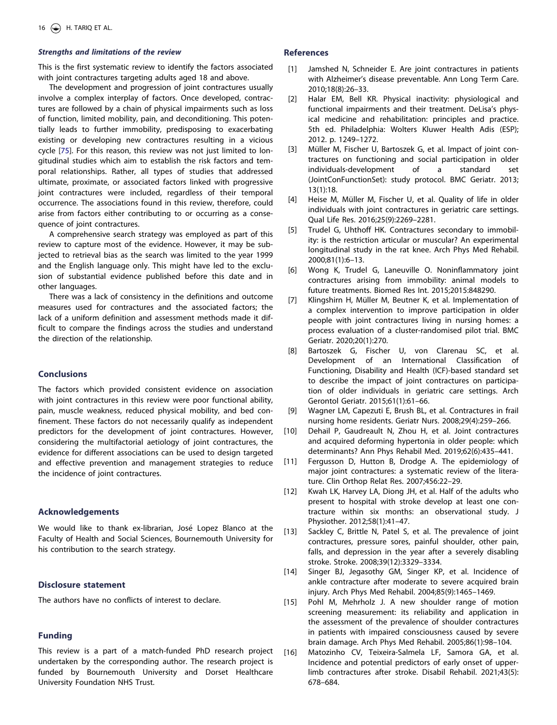# <span id="page-15-0"></span>*Strengths and limitations of the review*

This is the first systematic review to identify the factors associated with joint contractures targeting adults aged 18 and above.

The development and progression of joint contractures usually involve a complex interplay of factors. Once developed, contractures are followed by a chain of physical impairments such as loss of function, limited mobility, pain, and deconditioning. This potentially leads to further immobility, predisposing to exacerbating existing or developing new contractures resulting in a vicious cycle [[75\]](#page-17-0). For this reason, this review was not just limited to longitudinal studies which aim to establish the risk factors and temporal relationships. Rather, all types of studies that addressed ultimate, proximate, or associated factors linked with progressive joint contractures were included, regardless of their temporal occurrence. The associations found in this review, therefore, could arise from factors either contributing to or occurring as a consequence of joint contractures.

A comprehensive search strategy was employed as part of this review to capture most of the evidence. However, it may be subjected to retrieval bias as the search was limited to the year 1999 and the English language only. This might have led to the exclusion of substantial evidence published before this date and in other languages.

There was a lack of consistency in the definitions and outcome measures used for contractures and the associated factors; the lack of a uniform definition and assessment methods made it difficult to compare the findings across the studies and understand the direction of the relationship.

### **Conclusions**

The factors which provided consistent evidence on association with joint contractures in this review were poor functional ability, pain, muscle weakness, reduced physical mobility, and bed confinement. These factors do not necessarily qualify as independent predictors for the development of joint contractures. However, considering the multifactorial aetiology of joint contractures, the evidence for different associations can be used to design targeted and effective prevention and management strategies to reduce the incidence of joint contractures.

### **Acknowledgements**

We would like to thank ex-librarian, José Lopez Blanco at the Faculty of Health and Social Sciences, Bournemouth University for his contribution to the search strategy.

# **Disclosure statement**

The authors have no conflicts of interest to declare.

# **Funding**

This review is a part of a match-funded PhD research project undertaken by the corresponding author. The research project is funded by Bournemouth University and Dorset Healthcare University Foundation NHS Trust.

# **References**

- [1] Jamshed N, Schneider E. Are joint contractures in patients with Alzheimer's disease preventable. Ann Long Term Care. 2010;18(8):26–33.
- [2] Halar EM, Bell KR. Physical inactivity: physiological and functional impairments and their treatment. DeLisa's physical medicine and rehabilitation: principles and practice. 5th ed. Philadelphia: Wolters Kluwer Health Adis (ESP); 2012. p. 1249–1272.
- [3] Müller M, Fischer U, Bartoszek G, et al. Impact of joint contractures on functioning and social participation in older individuals-development of a standard set (JointConFunctionSet): study protocol. BMC Geriatr. 2013; 13(1):18.
- [4] Heise M, Müller M, Fischer U, et al. Quality of life in older individuals with joint contractures in geriatric care settings. Qual Life Res. 2016;25(9):2269–2281.
- [5] Trudel G, Uhthoff HK. Contractures secondary to immobility: is the restriction articular or muscular? An experimental longitudinal study in the rat knee. Arch Phys Med Rehabil. 2000;81(1):6–13.
- [6] Wong K, Trudel G, Laneuville O. Noninflammatory joint contractures arising from immobility: animal models to future treatments. Biomed Res Int. 2015;2015:848290.
- [7] Klingshirn H, Müller M, Beutner K, et al. Implementation of a complex intervention to improve participation in older people with joint contractures living in nursing homes: a process evaluation of a cluster-randomised pilot trial. BMC Geriatr. 2020;20(1):270.
- [8] Bartoszek G, Fischer U, von Clarenau SC, et al. Development of an International Classification of Functioning, Disability and Health (ICF)-based standard set to describe the impact of joint contractures on participation of older individuals in geriatric care settings. Arch Gerontol Geriatr. 2015;61(1):61–66.
- [0\[9\]](#page-2-0) Wagner LM, Capezuti E, Brush BL, et al. Contractures in frail nursing home residents. Geriatr Nurs. 2008;29(4):259–266.
- [10] Dehail P, Gaudreault N, Zhou H, et al. Joint contractures and acquired deforming hypertonia in older people: which determinants? Ann Phys Rehabil Med. 2019;62(6):435–441.
- [\[11\]](#page-1-0) Fergusson D, Hutton B, Drodge A. The epidemiology of major joint contractures: a systematic review of the literature. Clin Orthop Relat Res. 2007;456:22–29.
- [\[12\]](#page-1-0) Kwah LK, Harvey LA, Diong JH, et al. Half of the adults who present to hospital with stroke develop at least one contracture within six months: an observational study. J Physiother. 2012;58(1):41–47.
- [13] Sackley C, Brittle N, Patel S, et al. The prevalence of joint contractures, pressure sores, painful shoulder, other pain, falls, and depression in the year after a severely disabling stroke. Stroke. 2008;39(12):3329–3334.
- [14] Singer BJ, Jegasothy GM, Singer KP, et al. Incidence of ankle contracture after moderate to severe acquired brain injury. Arch Phys Med Rehabil. 2004;85(9):1465–1469.
- [\[15\]](#page-2-0) Pohl M, Mehrholz J. A new shoulder range of motion screening measurement: its reliability and application in the assessment of the prevalence of shoulder contractures in patients with impaired consciousness caused by severe brain damage. Arch Phys Med Rehabil. 2005;86(1):98–104.
- [\[16\]](#page-2-0) Matozinho CV, Teixeira-Salmela LF, Samora GA, et al. Incidence and potential predictors of early onset of upperlimb contractures after stroke. Disabil Rehabil. 2021;43(5): 678–684.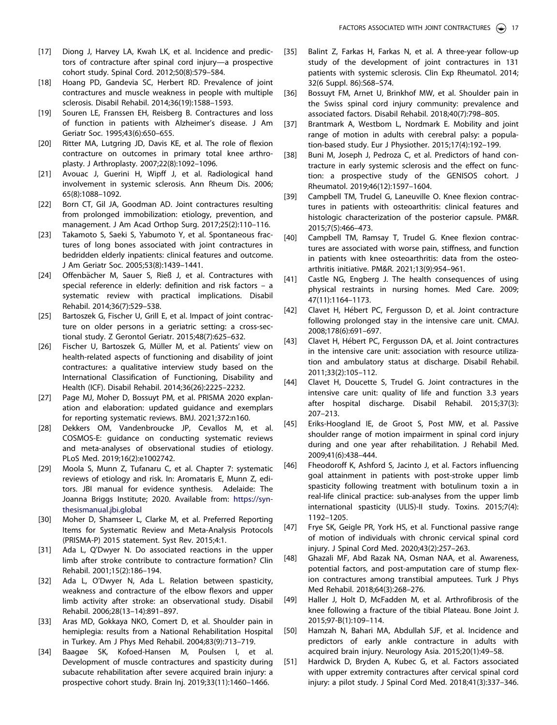- <span id="page-16-0"></span>[\[17\]](#page-1-0) Diong J, Harvey LA, Kwah LK, et al. Incidence and predictors of contracture after spinal cord injury—a prospective cohort study. Spinal Cord. 2012;50(8):579–584.
- [\[18\]](#page-1-0) Hoang PD, Gandevia SC, Herbert RD. Prevalence of joint contractures and muscle weakness in people with multiple sclerosis. Disabil Rehabil. 2014;36(19):1588–1593.
- [\[19\]](#page-1-0) Souren LE, Franssen EH, Reisberg B. Contractures and loss of function in patients with Alzheimer's disease. J Am Geriatr Soc. 1995;43(6):650–655.
- [\[20\]](#page-1-0) Ritter MA, Lutgring JD, Davis KE, et al. The role of flexion contracture on outcomes in primary total knee arthroplasty. J Arthroplasty. 2007;22(8):1092–1096.
- [\[21\]](#page-1-0) Avouac J, Guerini H, Wipff J, et al. Radiological hand involvement in systemic sclerosis. Ann Rheum Dis. 2006; 65(8):1088–1092.
- [\[22\]](#page-1-0) Born CT, Gil JA, Goodman AD. Joint contractures resulting from prolonged immobilization: etiology, prevention, and management. J Am Acad Orthop Surg. 2017;25(2):110–116.
- [\[23\]](#page-1-0) Takamoto S, Saeki S, Yabumoto Y, et al. Spontaneous fractures of long bones associated with joint contractures in bedridden elderly inpatients: clinical features and outcome. J Am Geriatr Soc. 2005;53(8):1439–1441.
- [\[24\]](#page-1-0) Offenbächer M, Sauer S, Rieß J, et al. Contractures with special reference in elderly: definition and risk factors – a systematic review with practical implications. Disabil Rehabil. 2014;36(7):529–538.
- [\[25\]](#page-1-0) Bartoszek G, Fischer U, Grill E, et al. Impact of joint contracture on older persons in a geriatric setting: a cross-sectional study. Z Gerontol Geriatr. 2015;48(7):625–632.
- [\[26\]](#page-1-0) Fischer U, Bartoszek G, Müller M, et al. Patients' view on health-related aspects of functioning and disability of joint contractures: a qualitative interview study based on the International Classification of Functioning, Disability and Health (ICF). Disabil Rehabil. 2014;36(26):2225–2232.
- [\[27\]](#page-1-0) Page MJ, Moher D, Bossuyt PM, et al. PRISMA 2020 explanation and elaboration: updated guidance and exemplars for reporting systematic reviews. BMJ. 2021;372:n160.
- [\[28\]](#page-1-0) Dekkers OM, Vandenbroucke JP, Cevallos M, et al. COSMOS-E: guidance on conducting systematic reviews and meta-analyses of observational studies of etiology. PLoS Med. 2019;16(2):e1002742.
- [\[29\]](#page-2-0) Moola S, Munn Z, Tufanaru C, et al. Chapter 7: systematic reviews of etiology and risk. In: Aromataris E, Munn Z, editors. JBI manual for evidence synthesis. Adelaide: The Joanna Briggs Institute; 2020. Available from: [https://syn](https://synthesismanual.jbi.global)[thesismanual.jbi.global](https://synthesismanual.jbi.global)
- [\[30\]](#page-2-0) Moher D, Shamseer L, Clarke M, et al. Preferred Reporting Items for Systematic Review and Meta-Analysis Protocols (PRISMA-P) 2015 statement. Syst Rev. 2015;4:1.
- [\[31\]](#page-2-0) Ada L, Q'Dwyer N. Do associated reactions in the upper limb after stroke contribute to contracture formation? Clin Rehabil. 2001;15(2):186–194.
- [\[32\]](#page-2-0) Ada L, O'Dwyer N, Ada L. Relation between spasticity, weakness and contracture of the elbow flexors and upper limb activity after stroke: an observational study. Disabil Rehabil. 2006;28(13–14):891–897.
- [\[33\]](#page-2-0) Aras MD, Gokkaya NKO, Comert D, et al. Shoulder pain in hemiplegia: results from a National Rehabilitation Hospital in Turkey. Am J Phys Med Rehabil. 2004;83(9):713–719.
- [\[34\]](#page-2-0) Baagøe SK, Kofoed-Hansen M, Poulsen I, et al. Development of muscle contractures and spasticity during subacute rehabilitation after severe acquired brain injury: a prospective cohort study. Brain Inj. 2019;33(11):1460–1466.
- [\[35\]](#page-2-0) Balint Z, Farkas H, Farkas N, et al. A three-year follow-up study of the development of joint contractures in 131 patients with systemic sclerosis. Clin Exp Rheumatol. 2014; 32(6 Suppl. 86):S68–S74.
- [\[36\]](#page-2-0) Bossuyt FM, Arnet U, Brinkhof MW, et al. Shoulder pain in the Swiss spinal cord injury community: prevalence and associated factors. Disabil Rehabil. 2018;40(7):798–805.
- [\[37\]](#page-2-0) Brantmark A, Westbom L, Nordmark E. Mobility and joint range of motion in adults with cerebral palsy: a population-based study. Eur J Physiother. 2015;17(4):192–199.
- [\[38\]](#page-2-0) Buni M, Joseph J, Pedroza C, et al. Predictors of hand contracture in early systemic sclerosis and the effect on function: a prospective study of the GENISOS cohort. J Rheumatol. 2019;46(12):1597–1604.
- [\[39\]](#page-2-0) Campbell TM, Trudel G, Laneuville O. Knee flexion contractures in patients with osteoarthritis: clinical features and histologic characterization of the posterior capsule. PM&R. 2015;7(5):466–473.
- [\[40\]](#page-3-0) Campbell TM, Ramsay T, Trudel G. Knee flexion contractures are associated with worse pain, stiffness, and function in patients with knee osteoarthritis: data from the osteoarthritis initiative. PM&R. 2021;13(9):954–961.
- [\[41\]](#page-3-0) Castle NG, Engberg J. The health consequences of using physical restraints in nursing homes. Med Care. 2009; 47(11):1164–1173.
- [\[42\]](#page-2-0) Clavet H, Hébert PC, Fergusson D, et al. Joint contracture following prolonged stay in the intensive care unit. CMAJ. 2008;178(6):691–697.
- [\[43\]](#page-2-0) Clavet H, Hébert PC, Fergusson DA, et al. Joint contractures in the intensive care unit: association with resource utilization and ambulatory status at discharge. Disabil Rehabil. 2011;33(2):105–112.
- [\[44\]](#page-2-0) Clavet H, Doucette S, Trudel G. Joint contractures in the intensive care unit: quality of life and function 3.3 years after hospital discharge. Disabil Rehabil. 2015;37(3): 207–213.
- [\[45\]](#page-2-0) Eriks-Hoogland IE, de Groot S, Post MW, et al. Passive shoulder range of motion impairment in spinal cord injury during and one year after rehabilitation. J Rehabil Med. 2009;41(6):438–444.
- [\[46\]](#page-2-0) Fheodoroff K, Ashford S, Jacinto J, et al. Factors influencing goal attainment in patients with post-stroke upper limb spasticity following treatment with botulinum toxin a in real-life clinical practice: sub-analyses from the upper limb international spasticity (ULIS)-II study. Toxins. 2015;7(4): 1192–1205.
- [\[47\]](#page-2-0) Frye SK, Geigle PR, York HS, et al. Functional passive range of motion of individuals with chronic cervical spinal cord injury. J Spinal Cord Med. 2020;43(2):257–263.
- [\[48\]](#page-2-0) Ghazali MF, Abd Razak NA, Osman NAA, et al. Awareness, potential factors, and post-amputation care of stump flexion contractures among transtibial amputees. Turk J Phys Med Rehabil. 2018;64(3):268–276.
- [\[49\]](#page-2-0) Haller J, Holt D, McFadden M, et al. Arthrofibrosis of the knee following a fracture of the tibial Plateau. Bone Joint J. 2015;97-B(1):109–114.
- [\[50\]](#page-2-0) Hamzah N, Bahari MA, Abdullah SJF, et al. Incidence and predictors of early ankle contracture in adults with acquired brain injury. Neurology Asia. 2015;20(1):49–58.
- [\[51\]](#page-2-0) Hardwick D, Bryden A, Kubec G, et al. Factors associated with upper extremity contractures after cervical spinal cord injury: a pilot study. J Spinal Cord Med. 2018;41(3):337–346.